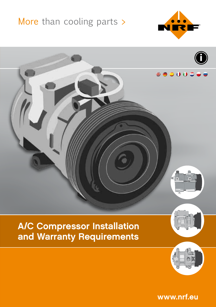# More than cooling parts >





www.nrf.eu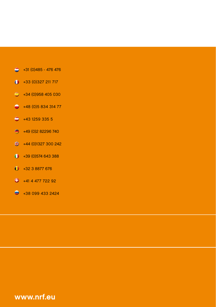- $\bigcirc$  +31 (0)485 476 476
- $+33 (0)327 211 717$
- $\bigcirc$  +34 (0)958 405 030
- $+48(0)583431477$
- $\bigcirc$  +43 1259 335 5
- +49 (0)2 82296 740
- $\bigoplus$  +44 (0)1327 300 242
- $\bigcirc$  +39 (0)574 643 388
- $+3238877676$
- $\bigoplus$  +41 4 477 722 92
- $+380994332424$

www.nrf.eu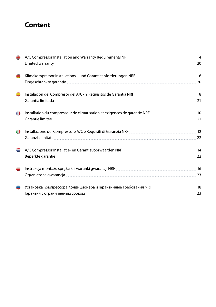# **Content**

|   | A/C Compressor Installation and Warranty Requirements NRF [1999] MACCOMPRESSOR INCREDIT 4                                                                                                                                     |    |
|---|-------------------------------------------------------------------------------------------------------------------------------------------------------------------------------------------------------------------------------|----|
|   |                                                                                                                                                                                                                               |    |
|   | Klimakompressor Installations - und Garantieanforderungen NRF [1999] 1999 [1999] 1999 [1999] 1999 [1                                                                                                                          |    |
|   | Eingeschränkte garantie 1988 and der Eingeschränkte garantie 1988 and der Eingeschränkte garantie 1988 and der                                                                                                                |    |
|   |                                                                                                                                                                                                                               |    |
|   | Garantía limitada 1999 - 21 metatra. 2009 - 21 metatra. 2009 - 21 metatra. 2009 - 21 metatra. 2009 - 21 metatra                                                                                                               |    |
| o | Installation du compresseur de climatisation et exigences de garantie NRF [100] [10] Installation du compresseur de climatisation et exigences de garantie NRF                                                                |    |
|   |                                                                                                                                                                                                                               |    |
| o | 12 Installazione del Compressore A/C e Requisiti di Garanzia NRF                                                                                                                                                              |    |
|   | Garanzia limitata 22                                                                                                                                                                                                          |    |
|   | A/C Compressor Installatie- en Garantievoorwaarden NRF [1994] [1994] A/C Compressor Installatie- en Garantievoorwaarden NRF [1994] [1994] [1994] [1994] [1994] [1994] [1994] [1994] [1994] [1994] [1994] [1994] [1994] [1994] |    |
|   |                                                                                                                                                                                                                               | 22 |
|   | Instrukcja montażu sprężarki i warunki gwarancji NRF [1999] [2009] [2009] [2009] [30] [30] [30] [30] [30] [30] [                                                                                                              |    |
|   | Ograniczona gwarancja <b>warelet alian alian alian alian alian alian alian alian alian alian alian alian alian ali</b>                                                                                                        | 23 |
|   |                                                                                                                                                                                                                               |    |
|   | Гарантия с ограниченным сроком положенности по положения с тем на 23 лет до 23                                                                                                                                                |    |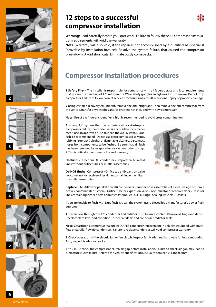











# **12 steps to a successful compressor installation**



**Warning:** Read carefully before you start work. Failure to follow these 12 compressor installation requirements will void the warranty.

**Note:** Warranty will also void, if the repair is not accomplished by a qualified AC-Specialist (provable by installation invoice!)! Resolve the system failure, that caused the compressor breakdown! Avoid short cuts. Eliminate costly comebacks.

# **Compressor installation procedures**

**1 Safety First** - The installer is responsible for compliance with all federal, state and local requirements that govern the handling of A/C refrigerants. Wear safety goggles and gloves. Do not smoke. Do not drop compressor. Failure to follow correct service procedures may result in personal injury or property damage.

**2** Using certified recovery equipment, remove the old refrigerant. Then remove the old compressor from the vehicle.Transfer any switches and/or brackets not included with new compressor.

**Note:** Use of a refrigerant identifier is highly recommended to avoid cross contamination.

**3** In any A/C system that has experienced a catastrophic compressor failure; the condenser is a candidate for replacement. Use an approved flush to clean the A/C system. Duraflush II is recommended. Do not use petroleum-based solvents, rubbing (isopropyl) alcohol or flammable cleaners. Disconnect hoses from components to be flushed. Be sure that all flush has been removed by evaporation or vacuum prior to step. 7. This is critical to compressor life and warranty.



**Do flush:** • Directional (F) condenser • Evaporator• All metal lines without orifice tubes or muffler assemblies

**Do NOT flush:** • Compressor • Orifice tube • Expansion valve • Accumulator or receiver-drier • Lines containing either filters or muffler assemblies

**Replace:** • Multiflow or parallel flow (R) condensers • Rubber hose assemblies of excessive age or from a heavily contaminated system • Orifice tube or expansion valve • Accumulator or receiver-drier • Hoses or lines containing either filters or muffler assemblies • Oil • O-rings • Sealing washers • Gaskets

If you are unable to flush with Duraflush II, clean the system using closed loop manufacturer's power flush equipment.

**4** The air flow through the A/C condenser and radiator must be unrestricted. Remove all bugs and debris. Check coolant level and condition. Inspect air dams and condenser/radiator seals.

**Note:** Catastrophic compressor failure REQUIRES condenser replacement in vehicles equipped with multiflow or parallel flow (R) condensers. Failure to replace condenser will void compressor warranty.

**5** Check operation of the electric fan or fan clutch. Inspect fan blades and hardware for loose mounting. Also, inspect blades for cracks.

**6** You must check the compressor clutch air gap before installation. Failure to check air gap may lead to premature clutch failure. Refer to the vehicle specifications. (Usually between 0,4 and 0,6mm)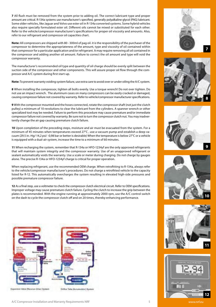**7** All flush must be removed from the system prior to adding oil. The correct lubricant type and proper amount are critical. R-134a systems use manufacturer's specified, generally polyalkaline glycol (PAG) lubricant. Some older vehicles, like Jaguar and Volvo use ester oil in R-134a converted systems. Some hybrid vehicles also require specially formulated ester oil. Different oils cannot be mixed or substituted for each other. Refer to the vehicle/compressor manufacturer's specifications for proper oil viscosity and amounts. Also, refer to our refrigerant and compressor oil capacities chart.

**Note:** All compressors are shipped with 80 - 300ml of pag oil. it is the responsibility of the purchaser of the compressor to determine the appropriateness of the amount, type and viscosity of oil contained within that compressor for a particular application and/or refrigerant. It may require removing all oil contained in the compressor and adding another oil amount. Failure to correct the oil amount and type will void the compressor warranty.

The manufacturer's recommended oil type and quantity of oil charge should be evenly split between the suction side of the compressor and other components. This will assure proper oil flow through the compressor and A/C system during first start-up.

**Note:** To prevent warranty voiding system failure, use extra care to avoid over or under oiling the A/C system.

**8** When installing the compressor, tighten all bolts evenly. Use a torque wrench! Do not over tighten. Do not use an impact wrench. The aluminum cases on many compressors can be easily cracked or damaged, causing compressor failure not covered by warranty. Refer to vehicle/compressor manufacturer specifications.

**9** With the compressor mounted and the hoses connected, rotate the compressor shaft (not just the clutch pulley) a minimum of 10 revolutions to clear the lubricant from the cylinders. A spanner wrench or other specialized tool may be needed. Failure to perform this procedure may cause premature and/or immediate compressor failure not covered by warranty. Be sure not to turn the compressor clutch nut. You may inadvertently change the air gap causing premature clutch failure.

**10** Upon completion of the preceding steps, moisture and air must be evacuated from the system. For a minimum of 45 minutes when temperatures exceed 27°C , use a vacuum pump and establish a deep vacuum (29.5 in.-Hg/-14,2 psi/ -0,98 bar or better is desirable) When the temperature is below 27°C or a vehicle is equipped with a dual-air system, increase the time to a minimum of 60 minutes.

**11** When recharging the system, remember that R-134a or HFO-1234yf are the only approved refrigerants that will maintain system integrity and the compressor warranty. Use of an unapproved refrigerant or sealant automatically voids the warranty. Use a scale or meter during charging. Do not charge by gauges alone. The precise R-134a or HFO-1234yf charge is critical for proper operation.

When replacing refrigerant, use the recommended OEM charge. When retrofitting to R-134a, always refer to the vehicle/compressor manufacturer's procedures. Do not charge a retrofitted vehicle to the capacity listed for R-12. This automatically overcharges the system resulting in elevated high-side pressures and possible premature compressor failure.

**12** As a final step, use a voltmeter to check the compressor clutch electrical circuit. Refer to OEM specifications. Improper voltage may cause premature clutch failure. Cycling the clutch to increase the grip between the plates is recommended. With the engine running at approximately 2000 rpm, use the A/C control switch on the dash to cycle the compressor clutch off and on 20 times, thereby enhancing performance.



Eigenversen Value (Racerium-Zirten) System













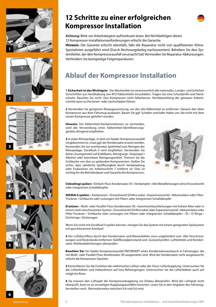













**Hinweis:** Die Garantie erlischt ebenfalls, falls die Reparatur nicht von qualifizierten Klima-Spezialisten ausgeführt wird (Durch Rechnungsbeleg nachzuweisen). Beheben Sie den Systemfehler, der den Kompressorausfall verursacht hat! Vermeiden Sie Reparatur-Abkürzungen. Verhindern Sie kostspielige Folgereparaturen.

# **Ablauf der Kompressor Installation**

**1 Sicherheit ist das Wichtigste** - Der Mechaniker ist verantwortlich alle nationalen, Landes- und örtlichen Vorschriften zur Handhabung von KFZ-Kältemitteln einzuhalten. Tragen Sie eine Schutzbrille und Handschuhe. Rauchen Sie nicht. Den Kompressor nicht fallenlassen. Nichtbeachtung der genauen Arbeitsschritte kann zu Personen- oder Sachschäden führen.

**2** Verwenden Sie geeignete Absaugausrüstung, um das alte Kältemittel zu entfernen. Danach den alten Kompressor aus dem Fahrzeug ausbauen. Bauen Sie ggf. Schalter und/oder Halter um, die nicht mit dem neuen Kompressor geliefert wurden.

**Hinweis:** Um Kältemittel-Kontaminationen zu vermeiden, wird die Verwendung eines Kältemittel-Identifizierungsgerätes dringend empfohlen.

**3** In jeder Klimaanlage, in dem ein fataler Kompressorausfall vorgekommen ist, muss ggf. der Kondensator ersetzt werden. Verwenden Sie nur anerkanntes Spülmittel zum Reinigen der Klimaanlage. Duraflush II wird empfohlen. Verwenden Sie keine Lösungsmittel auf Erdölbasis, Reinigungs- (Isopropyl-) Alkohol oder brennbare Reinigungsmittel. Trennen Sie die Schläuche von den zu spülenden Komponenten. Stellen Sie sicher, dass sämtliche Spülflüssigkeit durch Verdampfung oder Evakuieren vor Arbeitsschritt 7 entfernt ist. Dies ist wichtig für die Betriebsdauer und Garantie des Kompressors.



**Unbedingt spülen:** • Einfach-Fluss Kondensator (F) • Verdampfer • Alle Metallleitungen ohne Drosselventil oder integrierten Schalldämpfer

**NIEMALS spülen:** • Kompressor • Drosselventil (Orifice tube) • Expansionsventil • Akkumulator oder Filter-Trockner • Schläuche oder Leitungen mit Filtern oder integrierten Schalldämpfer

**Ersetzen:** • Multi- oder Parallel-Fluss Kondensator (R) • Gummischlauchleitungen mit hohem Alter oder in einem stark verschmutzten System • Drosselventil (Orifice tube) oder Expansionsventil • Akkumulator oder Filter-Trockner • Schläuche oder Leitungen mit Filtern oder integrierten Schalldämpfer • Öl • O-Ringe • Dichtringe • Dichtungen

Wenn Sie nicht mit Duraflush II spülen können, reinigen Sie das System mit einem geeigneten Spülsystem mit geschlossenem Kreislauf.

**4** Der Luftdurchfluss durch den Kondensator und Wasserkühler muss ungehindert sein. Alle Verschmutzungen und Rückstände entfernen. Kühlflüssigkeitsstand und -Zustand prüfen. Luftleitteile und Kondensator-/Kühlerabdichtungen überprüfen.

**Beachten Sie:** Ein fataler Kompressorausfall ERFORDERT einen Kondensatoraustausch in Fahrzeugen, die mit Multi- oder Parallel-Fluss Kondensator (R) ausgestattet sind. Wird der Kondensator nicht ausgetauscht, erlischt die Kompressor-Garantie.

**5** Kontrollieren Sie die Funktion des elektrischen Lüfters oder der Visco-Lüfterkupplung. Untersuchen Sie die Lüfterblätter und Halterahmen auf lose Befestigungen. Untersuchen Sie die Lüfterblätter auch auf mögliche Risse.

**6** Sie müssen den Luftspalt der Kompressorkupplung vor Einbau überprüfen. Wird der Luftspalt nicht überprüft, kann es zu vorzeitigen Kupplungsausfällen kommen. Lesen Sie in den Angaben des Fahrzeugherstellers nach. (Normalerweise zwischen 0,4 und 0,6 mm).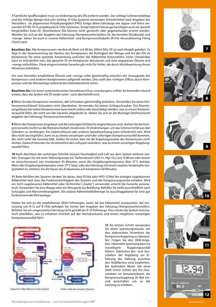**7** Sämtliche Spülflüssigkeit muss vor Einbringung des Öls entfernt werden. Der richtige Schmiermitteltyp und die richtige Menge sind sehr wichtig. R-134a-Systeme verwenden Schmiermittel nach Angaben des Herstellers - im allgemeinen Polyalkylenglykol (PAG). Einige ältere Fahrzeuge wie Jaguar und Volvo verwenden ESTER-Öl in umgebauten R-134a-Systemen. Einige Hybrid-Fahrzeuge benötigen auch ein speziell hergestelltes Ester-Öl. Verschiedene Öle können nicht gemischt oder gegeneinander ersetzt werden. Wenden Sie sich an die Angaben des Fahrzeug-/Kompressorherstellers für die korrekte Ölviskosität und -menge. Sehen Sie auch in unserer Kältemittel- und Kompressoröltabelle (R134a Airconditioning Filling Chart) nach.

**Beachten Sie:** Alle Kompressoren werden ab Werk mit 80 bis 300ml PAG-Öl (je nach Model) geliefert. Es liegt in der Verantwortung des Käufers des Kompressors die Richtigkeit der Menge und Art des Öls im Kompressor für seine spezielle Anwendung und/oder das Kältemittel festzustellen. Unter Umständen kann es erforderlich sein, das gesamte Öl im Kompressor abzulassen und eine angepasste Ölsorte und -menge aufzufüllen. Diese eingeschränkte Garantie gilt nicht für Fehler, die durch Nichtbeachtung dieses Hinweises entstehen.

Die vom Hersteller empfohlene Ölsorte und -menge sollte gleichmäßig zwischen der Ansaugseite des Kompressors und anderen Komponenten aufgeteilt werden. Dies stellt den richtigen Ölfluss durch Kompressor und der Klimaanlage während der Inbetriebnahme sicher.

**Beachten Sie:** Um einen systemrelevanten Garantieauschluss vorzubeugen, sollten Sie besonders darauf achten, dass das System mit Öl weder unter- noch überbefüllt wird.

**8** Wenn Sie den Kompressor montieren, alle Schrauben gleichmäßig andrehen. Verwenden Sie einen Drehmomentschlüssel! Schrauben nicht überdrehen. Verwenden Sie keinen Schlagschrauber. Das Aluminiumgehäuse bei vielen Kompressoren kann leicht reißen oder beschädigt werden, was zu einem Kompressorausfall führt, der nicht von der Garantie abgedeckt ist. Halten Sie sich an die Montage (Drehmoment) angaben des Fahrzeug/-Kompressorherstellers.

**9** Wenn der Kompressor eingebaut und die Leitungen/Schläuche angeschlossen sind, drehen Sie die Kompressorwelle (nicht nur die Riemenscheibe!) mindestens 10 Umdrehungen, um das Schmiermittel aus den Zylindern zu verdrängen. Ein Gabelschlüssel oder anderes Spezialwerkzeug kann erforderlich sein. Wird dies nicht durchgeführt, kann es zu einem vorzeitigen und/oder sofortigen Kompressorausfall kommen, der nicht unter die Garantie fällt. Stellen Sie sicher, dass Sie die Kupplungsmutter des Kompressors nicht drehen. Dadurch könnten Sie versehentlich den Luftspalt verändern, was zu einem vorzeitigen Kupplungsausfall führt.

**10** Nach Abschluss der vorherigen Schritte müssen Feuchtigkeit und Luft aus dem System entfernt werden. Erzeugen Sie mit einer Vakuumpumpe ein Tiefenvakuum (29,5 in.-Hg/-14,2 psi/-0,98 bar oder besser ist wünschenswert) von mindestens 45 Minuten, wenn die Umgebungstemperatur über 27°C beträgt. Wenn die Umgebungstemperatur unter 27°C liegt, oder das Fahrzeug mit einem zweiten Verdampfer ausgestattet ist, erhöhen Sie die Dauer des Evakuierens auf mindestens 60 Minuten.

**11** Beim Befüllen des Systems denken Sie daran, dass R134a oder HFO-1234yf die einzigen zugelassenen Kältemittel sind, dass die Funktionstüchtigkeit des Systems und die Kompressorgarantie erhalten. Wird ein nicht zugelassenes Kältemittel oder Dichtmittel ("Sealer") verwendet, erlischt die Garantie automatisch. Verwenden Sie eine Waage oder ein Messgerät zur Befüllung. Befüllen Sie nicht ausschließlich nach Schauglas und Manometerangaben. Die präzise Kältemittelfüllmenge ist ausschlaggebend für eine gut funktionierende Klimaanlage.

Halten Sie sich an die empfohlenen OEM-Füllmengen, wenn Sie das Kältemittel austauschen. Bei Umrüstung von R-12 auf R-134a befolgen Sie immer den Angaben des Fahrzeug-/Kompressorherstellers. Befüllen Sie ein umgerüstetes Fahrzeug nicht gemäß der R-12 Füllmenge. Dies würde das System automatisch überfüllen, was zu erhöhten Drücken auf der Hochdruckseite und einem möglichen vorzeitigen Kompressorausfall führt.



Eigenversen Value (Racerium-Zirten) System

**Into Chemical** 

**12** Als letzten Schritt verwenden Sie einen Spannungsmesser, um den elektrischen Stromkreis der Kompressorkupplung zu überprüfen. Folgen Sie den OEM-Angaben. Inkorrekte Spannung kann zu .<br>Kupplungsausfall führen. Zyklisches Ein- und Ausschalten der Kupplung zur Erhöhung der Haftung zwischen den Reibflächen wird empfohlen. Bei laufendem Motor mit etwa 2000 U/min mittels des Ein-/Ausschalters im Armaturenbrett, die Kompressorkupplung 20 Mal einund ausschalten um so die Leistung zu erhöhen.



**7**









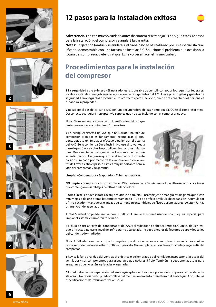











# **12 pasos para la instalación exitosa**

**Advertencia:** Lea con mucho cuidado antes de comenzar a trabajar. Si no sigue estos 12 pasos para la instalación del compresor, se anulará la garantía.

**Notas:** La garantía también se anulará si el trabajo no se ha realizado por un especialista cualificado (demostrable con una factura de instalación). Solucione el problema que ocasionó la rotura del compresor. Evite los atajos. Evite volver a hacer el mismo trabajo.

# **Procedimientos para la instalación del compresor**

**1 La seguridad es lo primero** - El instalador es responsable de cumplir con todos los requisitos federales, locales y estatales que gobierna la legislación de refrigerantes del A/C. Lleve puesto gafas y guantes de seguridad. El no seguir los procedimientos correctos para el servicio, puede ocasionar heridas personales o daños a la propiedad.

**2** Recupere el gas del circuito A/C con una recuperadora de gas homologada. Quite el compresor viejo. Desconecte cualquier interruptor y/o soporte que no esté incluido con el compresor nuevo.

**Nota:** Se recomienda el uso de un identificador del refrigerante, para evitar su contaminación con otros.

**3** En cualquier sistema del A/C que ha sufrido una fallo de compresor gripado; es fundamental reemplazar el condensador. Use un limpiador efectivo para limpiar el sistema del A/C. Se recomienda Duraflush II. No use disolventes a base de petróleo, alcohol isopropílico o limpiadores inflamables. Desconecte las mangueras de los componentes que serán limpiados. Asegúrese que todo el limpiador disolvente ha sido eliminado por medio de la evaporación o vacio, antes de llevar a cabo el paso 7. Esto es muy importante para la vida del compresor y su garantía.



**Limpie:** • Condensador • Evaporador • Tuberías metálicas.

**NO limpie:** • Compresor • Tubo de orificio • Válvula de expansión • Acumulador o filtro-secador • Las líneas que contengan ensamblajes de filtros o silenciadores

**Reemplace:** • Condensadores de flujo múltiple o paralelo • Ensamblajes de mangueras de goma que estén muy viejos o de un sistema bastante contaminado • Tubo de orificio o válvula de expansión• Acumulador o filtro-secador • Mangueras o líneas que contengan ensamblajes de filtros o silenciadores • Aceite • Juntas o-ring • Arandelas selladoras.

Juntas Si usted no puede limpiar con Duraflush II, limpie el sistema usando una máquina especial para limpiar el sistema en un circuito cerrado.

**4** El flujo de aire a través del condensador del A/C y el radiador no debe ser limitado. Quite cualquier residuo o insectos. Revise el nivel del refrigerante y su estado. Inspecciones los deflectores de aire y los sellos del condensador/ radiador.

**Nota:** El fallo del compresor gripados, *requiere* que el condensador sea reemplazado en vehículos equipados con condensadores de flujo múltiple o paralelo. No reemplazar el condensador anulará la garantía del compresor.

**5** Revise la funcionalidad del ventilador eléctrico o del embrague del ventilador. Inspeccione las aspas del ventilador y sus componentes para asegurarse que nada está flojo. También inspeccione las aspas para asegurarse que no estén agrietadas o agarradas.

**6** Usted debe revisar separación del embrague (placa embrague a polea) del compresor, antes de la instalación. No revisar esto puede conllevar al malfuncionamiento prematuro del embrague. Consulte las especificaciones del fabricante del vehículo.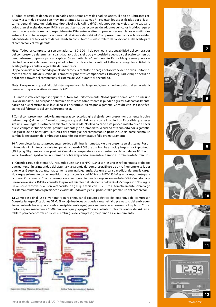**7** Todos los residuos deben ser eliminados del sistema antes de añadir el aceite. El tipo de lubricante correcto y la cantidad exacta, son muy importantes. Los sistemas R-134a usan los especificados por el fabricante, generalmente un lubricante tipo glicol polialcalino (PAG). Algunos coches viejos, como Jaguar y Volvo usan el aceite tipo éster R-134a en sus sistemas de reconversión. Algunos vehículos híbridos requieren un aceite éster formulado especialmente. Diferentes aceites no pueden ser mezclados o sustituidos entre sí. Consulte las especificaciones del fabricante del vehículo/compresor para conocer la viscosidad adecuada del aceite y las cantidades. También consulte con nuestro folleto de capacidades del aceite para el compresor y el refrigerante.

**Nota:** Todos los compresores son enviados con 80- 300 ml de pag . es la responsabilidad del compra dor del compresor de determinar la cantidad apropiada, el tipo y viscosidad adecuada del aceite contenido dentro de ese compresor para una aplicación en particular y/o refrigerante. Es posible que se requiera vaciar todo el aceite del compresor y añadir otro tipo de aceite o cantidad. Fallar en corregir la cantidad de aceite y el tipo, anulará la garantía del compresor.

El tipo de aceite recomendado por el fabricante y la cantidad de carga del aceite se debe dividir uniformemente entre el lado de succión del compresor y los otros componentes. Esto asegurará el flujo adecuado del aceite a través del compresor y el sistema del A/C durante el encendido.

**Nota:** Para prevenir que el fallo del sistema pueda anular la garantía, tenga mucho cuidado al evitar añadir demasiado o poco aceite al sistema de A/C.

**8** Cuando instale el compresor, apriete los tornillos uniformemente. No los apriete demasiado. No use una llave de impacto. Los cuerpos de aluminio de muchos compresores se pueden agrietar o dañar fácilmente, haciendo que el mismo falle, lo cual no se encuentra cubierto por la garantía. Consulte con las especificaciones del fabricante del vehículo/compresor.

**9** Con el compresor montado y las mangueras conectadas, gire el eje del compresor (no solamente la polea del embrague) al menos 10 revoluciones, para que el lubricante recorra los cilindros. Es posible que necesite una llave inglesa u otra herramienta especializada. No llevar a cabo este procedimiento puede hacer que el compresor funcione mal prematuramente y/o de inmediato, lo cual no está cubierto por la garantía. Asegúrese de no hacer girar la tuerca del embrague del compresor. Es posible que sin darse cuenta, se cambie la separación del embrague, causando que el embrague falle prematuramente.

**10** Al completar los pasos precedentes, se debe eliminar la humedad y el aire presente en el sistema. Por un mínimo de 45 minutos, cuando la temperatura pase de 80ºF, use una bomba al vacío y haga un vacío profundo (29.5 pulg./Hg o mejor, si es posible). Cuando la temperatura se encuentre por debajo de los 80ºF o un vehículo esté equipado con un sistema de doble evaporador, aumente el tiempo a un mínimo de 60 minutos.

**11** Cuando cargue el sistema A/C, recuerde que R-134a or HFO-1234yf son los únicos refrigerantes aprobados que mantendrán la integridad del sistema y la garantía del compresor. El uso de un refrigerante o sellador que no esté autorizado, automáticamente anulará la garantía. Use una escala o medidor durante la carga. No cargue solamente con un medidor. La carga precisa del R-134a or HFO-1234yf es muy importante para la operación correcta. Cuando reemplace el refrigerante, use la carga recomendada OEM. Cuando haga una reconversión a R-134a, consulte los procedimientos del fabricante del vehículo/ compresor. No cargue un vehículo reconvertido, con la capacidad de gas que tenía con R-12. Esto automáticamente sobrecarga el sistema resultando en presiones elevadas del lado alto y en el posible fallo prematuro del compresor.

**12** Como paso final, use el voltímetro para chequear el circuito eléctrico del embrague del compresor. Consulte las especificaciones OEM. El voltaje inadecuado puede causar el fallo prematuro del embrague. Se recomienda hacer girar el embrague (plato embrague) para aumentar el agarre entre los platos. Con el motor a aproximadamente 2000 rpm, arranque y apague 20 veces el interruptor de control del A/C en el tablero para hacer correr en ciclos el embrague del compresor, mejorando así el rendimiento.



Eigenversen Value (Racerium-Zirten) System





**7**







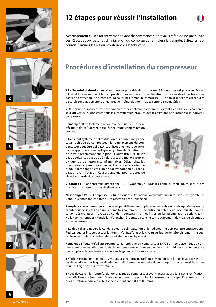











**Avertissement :** Lisez attentivement avant de commencer le travail. Le fait de ne pas suivre ces 12 étapes obligatoires d'installation du compresseur annulera la garantie. Évitez les raccourcis. Éliminez les retours coûteux chez le fabricant.

# **Procédures d'installation du compresseur**

**1 La Sécurité d'abord** - L'installateur est responsable de la conformité à toutes les exigences fédérales, d'État et locales régissant la manipulation des réfrigérants de climatisation. Portez des lunettes et des gants de protection. Ne fumez pas. Ne faites pas tomber le compresseur. Le non-respect des procédures de service/réparation appropriées peut entraîner des dommages corporels et matériels.

**2** Utilisez un équipement de récupération certifié et éliminez le vieux réfrigérant. Retirez le vieux compresseur du véhicule. Transférez tous les interrupteurs et/ou toutes les fixations non inclus sur le nouveau compresseur.

**Remarque :** Il est fortement recommandé d'utiliser un identificateur de réfrigérant pour éviter toute contamination croisée.

**3** Dans tout système de climatisation qui a subit une panne catastrophique de compresseur, le remplacement du condensateur peut être obligatoire. Utilisez une méthode de vidange approuvée pour nettoyer le système de climatisation. Nous vous recommandons le produit Duraflush II. N'utilisez pas de solvants à base de pétrole, d'alcool à friction (isopropylique) ou de nettoyants inflammables. Débranchez les tuyaux des composants à vidanger. Assurez-vous que tout le produit de vidange a été éliminé par évaporation ou par aspiration avant l'étape 7. Cela est essentiel pour la durée de vie et la garantie du compresseur.



**Vidangez :** • Condensateur directionnel (F) • Évaporateur • Tous les conduits métalliques sans tubes d'orifice ou les assemblages de silencieux

**NE vidangez PAS :** • Compresseur • Tube d'orifice • Détendeur • Accumulateur ou réservoir déshydrateur • Conduits contenant les filtres ou les assemblages du silencieux

**Remplacez :** • Condensateurs montés en parallèle ou à multiples écoulements • Assemblages de tuyaux de caoutchouc obsolètes ou d'un système très contaminé • Tube orifice ou détendeur • Accumulateur ou réservoir déshydrateur • Tuyaux ou conduits contenant soit les filtres ou les assemblages de silencieux • Huile • Joints toriques • Rondelles d'étanchéité • Joints d'étanchéité • l'équipement de vidange électrique à boucle fermée

**4** Le débit d'air à travers le condensateur de climatisation et le radiateur ne doit pas être entravé/gêné. Retirez tous les insectes et tous les débris. Vérifiez l'état et le niveau du liquide de refroidissement. Inspectez tous les joints du condensateur/radiateur et du clapet à air.

**Remarque :** Toute défaillance/panne catastrophique du compresseur EXIGE un remplacement du condensateur pour les véhicules dotés de condensateurs montés en parallèle ou à multiples écoulements. Ne pas remplacer le condensateur annulera la garantie du compresseur.

**5** Vérifiez le fonctionnement du ventilateur électrique ou de l'embrayage du ventilateur. Inspectez les pales de ventilateur et la quincaillerie pour relâchement éventuelle du montage. Inspectez aussi les lames pour tout signe de fissure éventuelle.

**6** Vous devez vérifier l'entrefer de l'embrayage du compresseur avant l'installation. Sans cette vérification, une défaillance prématurée d'embrayage pourrait se produire. Reportez-vous aux spécifications techniques du fabricant du véhicule. (Généralement entre 0,4 et 0,6 mm)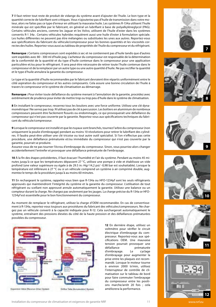**7** Il faut retirer tout reste de produit de vidange du système avant d'ajouter de l'huile. Le bon type et la quantité correcte de lubrifiant sont critiques. Vous n'ajouteriez pas d'huile de transmission dans votre moteur, alors ne faites pas ce type d'erreur en utilisant la mauvaise huile. Les systèmes R-134a utilisent l'huile minérale qui est spécifiée par le fabricant, en général un lubrifiant à base de polyalkylèneglycol (PAG). Certains véhicules anciens, comme les Jaguar et les Volvo, utilisent de l'huile d'ester dans les systèmes convertis R-1 34a . Certains véhicules hybrides requièrent aussi une huile d'ester à formulation spéciale. Les huiles différentes ne peuvent pas être mélangées ou substituées les unes aux autres. Reportez-vous aux spécifications du fabricant du véhicule/compresseur pour les bonnes quantités et les viscosités correctes des huiles. Reportez-vous aussi au tableau de propriétés de l'huile du compresseur et du réfrigérant.

**Remarque :** Certains compresseurs sont expédiés à sec et ne contiennent pas d'huile tandis que d'autres sont expédiés avec 80 - 300 ml d'huile pag. L'acheteur du compresseur est responsable de la détermination de la conformité de la quantité et du type d'huile contenue dans le compresseur pour une application particulière et/ou pour le réfrigérant. Il sera peut-être nécessaire de retirer toute l'huile contenue dans le compresseur et de la remplacer par un autre type ou une autre quantité d'huile. Ne pas rectifier la quantité et le type d'huile annulera la garantie du compresseur.

Le type et la quantité d'huile recommandée par le fabricant devraient être répartis uniformément entre le côté aspiration du compresseur et les autres composants. Cela assure une bonne circulation de l'huile à travers le compresseur et le système de climatisation au démarrage.

**Remarque :** Pour éviter toute défaillance du système menant à l'annulation de la garantie, procédez avec extrêmement de prudence pour éviter de mettre trop ou trop peu d'huile dans le système de climatisation.

**8** En installant le compresseur, resserrez tous les boulons avec une force uniforme. Utilisez une clé dynamométrique ! Ne serrez pas trop. N'utilisez pas de clé à percussion. Les boîtiers en aluminium de nombreux compresseurs peuvent être facilement fissurés ou endommagés, ce qui provoquerait une défaillance du compresseur qui n'est pas couverte par la garantie. Reportez-vous aux spécifications techniques du fabricant du véhicule/compresseur.

**9** Lorsque le compresseur est installé et que les tuyaux sont branchés, tournez l'arbre du compresseur (non uniquement la poulie d'embrayage) pendant au moins 10 révolutions pour retirer le lubrifiant des cylindres. Il faudra peut-être utiliser une clé tricoise ou tout autre outil spécialisé. Si l'on n'effectue pas cette procédure, une défaillance prématurée et/ou immédiate du compresseur qui n'est pas couverte par la garantie, pourrait se produire.

Assurez-vous de ne pas tourner l'écrou d'embrayage du compresseur. Sinon, vous pourriez alors changer accidentellement l'entrefer et provoquer une défaillance prématurée de l'embrayage.

**10** À la fin des étapes précédentes, il faut évacuer l'humidité et l'air du système. Pendant au moins 45 minutes jusqu'à ce que les températures dépassent 27 °C, utilisez une pompe à vide et établissez un vide profond (une valeur supérieure ou égale à de 29.5 in.-Hg/-14,2 psi/ -0,98 bar est souhaitable). Lorsque la température est inférieure à 27 °C ou si un véhicule comprend un système à air comprimé double, augmentez le temps de la procédure jusqu'à au moins 60 minutes.

**11** En rechargeant le système, rappelez-vous bien que R-134a ou HFO-1234yf sont les seuls réfrigérants approuvés qui maintiendront l'intégrité du système et la garantie du compresseur. L'utilisation de tout réfrigérant ou scellant non approuvé annule automatiquement la garantie. Utilisez une balance ou un compteur durant la charge. Ne chargez pas seulement par les jauges. La charge précise du R-134a or HFO-1234yf est essentielle pour le bon fonctionnement du compresseur.

Au moment de remplacer le réfrigérant, utilisez la charge d'OEM recommandée. En cas de convertissement à R-134a, reportez-vous toujours aux procédures du fabricant des véhicules/compresseurs. Ne chargez pas un véhicule converti à la capacité indiquée pour R-12. Cela surchargerait automatiquement le système, entraînant des pressions élevées du côté de la haute pression et des défaillances prématurées possibles du compresseur.



Eigenston Video (Receiver-Drive) System

**Critica Tubie (Apr** distort System

**12** En dernière étape, utilisez un voltmètre pour vérifier le circuit électrique d'embrayage du compresseur. Reportez-vous aux spécifications OEM. Une mauvaise tension pourrait provoquer une<br>défaillance prématurée prématurée d'embrayage. Le cyclage d'embrayage pour augmenter la prise entre les plaques est recommandé. Lorsque le moteur tourne à environ 2000 tr/min, utilisez l'interrupteur de contrôle de climatisation sur le tableau de bord pour faire commuter l'embrayage du compresseur entre les positions marche/arrêt 20 fois ; cela améliorera la performance.



**7**









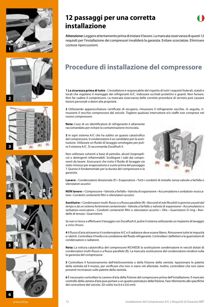











**Attenzione:** Leggere attentamente prima di iniziare il lavoro. La mancata osservanza di questi 12 requisiti per l'installazione dei compressori invaliderà la garanzia. Evitare scorciatoie. Eliminare costose ripercussioni.

# **Procedure di installazione del compressore**

**1 La sicurezza prima di tutto** - L'installatore è responsabile del rispetto di tutti i requisiti federali, statali e locali che regolano il maneggio dei refrigeranti A/C. Indossare occhiali protettivi e guanti. Non fumare. Non far cadere il compressore. La mancata osservanza delle corrette procedure di servizio può causare lesioni personali o danni alla proprietà.

**2** Utilizzando apparecchiature certificate di recupero, rimuovere il refrigerante vecchio. In seguito, rimuovere il vecchio compressore dal veicolo. Togliere qualsiasi interruttore e/o staffe non comprese nel nuovo compressore.

**Nota:** L'uso di un identificatore di refrigerante è altamente raccomandato per evitare la contaminazione incrociata.

**3** In ogni sistema A/C che ha subito un guasto catastrofico del compressore, il condensatore è un candidato per la sostituzione. Utilizzare un fluido di lavaggio omologato per pulire il sistema A/C. Si raccomanda Duraflush II.

Non utilizzare solventi a base di petrolio, alcool (isopropilico) o detergenti infiammabili. Scollegare i tubi dai componenti da lavare. Assicurarsi che tutto il fluido di lavaggio sia stato rimosso per evaporazione o vuoto prima del passaggio 7. Questo è fondamentale per la durata del compressore e la garanzia.



**Lavare:** • Condensatore direzionale (F) • Evaporatore • Tutti i condotti di metallo senza valvole a farfalla o silenziatori acustici

**NON lavare:** • Compressore • Valvola a farfalla • Valvola di espansione • Accumulatore o serbatoio-essiccatore • Condotti contenenti filtri o silenziatori acustici

**Sostituire:** • Condensatori multi-flusso o a flusso parallelo (R) • *Raccordi di tubi flessibili in gomma usurati dal tempo o da un sistema fortemente contaminato* • Valvola a farfalla o valvola di espansione • Accumulatore o serbatoio-essiccatore • Condotti contenenti filtri o silenziatori acustici • Olio • Guarnizioni O-ring • Rondelle di tenuta • Guarnizioni.

Se non si riesce a effettuare il lavaggio con Duraflush II, pulire il sistema utilizzando un impianto di lavaggio a ciclo chiuso.

**4** Il flusso d'aria attraverso il condensatore A/C e il radiatore deve essere libero. Rimuovere tutte le impurità e i detriti. Controllare il livello e la condizione del fluido refrigerante. Controllare i deflettori e le guarnizioni di condensatore e radiatore.

**Nota:** La rottura catastrofica del compressore RICHIEDE la sostituzione condensatore in veicoli dotati di condensatori multi-flusso o a flusso parallelo (R). La mancata sostituzione del condensatore renderà nulla la garanzia del compressore.

**5** Controllare il funzionamento dell'elettroventola o della frizione della ventola. Ispezionare le palette della ventola ed il mozzo, per verificare che non vi siano viti allentate. Inoltre, controllare che non siano presenti incrinature sulle palette della ventola.

**6** È necessario controllare la camera d'aria della frizione del compressore prima dell'installazione. Il mancato controllo della camera d'aria può portare a un guasto prematuro della frizione. Fare riferimento alle specifiche del costruttore del veicolo. (Di solito tra 0,4 e 0,6 mm)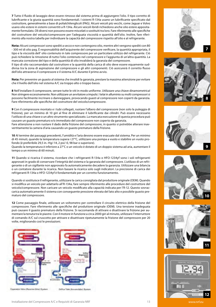**7** Tutto il fluido di lavaggio deve essere rimosso dal sistema prima di aggiungere l'olio. Il tipo corretto di lubrificante e la giusta quantità sono fondamentali. I sistemi R-134a usano un lubrificante specificato dal costruttore, generalmente a base di polialchilenglicoli (PAG). Alcuni veicoli più vecchi, come Jaguar e Volvo usano olio estere in sistemi convertiti a R-134a. Alcuni veicoli ibridi richiedono anche olio estere appositamente formulato. Oli diversi non possono essere miscelati o sostituiti tra loro. Fare riferimento alle specifiche del costruttore del veicolo/compressore per l'adeguata viscosità e quantità dell'olio. Inoltre, fare riferimento alla nostra tabella per individuare la capacità del compressore rispetto all'olio e al refrigerante.

**Nota:** Alcuni compressori sono spediti a secco e non contengono olio, mentre altri vengono spediti con 80 - 300 ml di olio pag. È responsabilità dell'acquirente del compressore verificare, la quantità appropriata, il tipo e la viscosità dell' olio contenuto in tale compressore per un particolare utilizzo del refrigerante. Ciò può richiedere la rimozione di tutto l'olio contenuto nel compressore e l'aggiunta di un'altra quantità. La mancata correzione del tipo e della quantità di olio invaliderà la garanzia del compressore.

Il tipo di olio raccomandato dal costruttore e la quantità della carica di olio deve essere equamente suddivisa tra la zona di aspirazione del compressore e gli altri componenti. Ciò assicurerà il corretto flusso dell'olio attraverso il compressore e il sistema A/C durante il primo avvio.

**Nota:** Per prevenire un guasto al sistema che invalidi la garanzia, prestare la massima attenzione per evitare che il livello dell'olio nel sistema A/C sia troppo alto o troppo basso.

**8** Nell'installare il compressore, serrare tutte le viti in modo uniforme. Utilizzare una chiave dinamometrica! Non stringere eccessivamente. Non utilizzare un avvitatore a impulsi. I telai in alluminio su molti compressori si possono facilmente incrinare o danneggiare, provocando guasti al compressore non coperti da garanzia. Fare riferimento alle specifiche del costruttore del veicolo/compressore.

**9** Con il compressore montato e i tubi collegati, ruotare l'albero del compressore (non solo la puleggia di frizione), per un minimo di 10 giri al fine di eliminare il lubrificante dai cilindri. Può essere necessario l'utilizzo di una chiave o un altro strumento specializzato. La mancata esecuzione di questa procedura può causare un guasto prematuro e/o immediato del compressore non coperto da garanzia.

Fare attenzione a non ruotare il dado della frizione del compressore, in quanto si potrebbe alterare inavvertitamente la camera d'aria causando un guasto prematuro della frizione.

**10** Al termine dei passaggi precedenti, l'umidità e l'aria devono essere evacuate dal sistema. Per un minimo di 45 minuti, quando la temperatura supera i 27°C, utilizzare una pompa a vuoto e stabilire un vuoto profondo (è preferibile 29,5 in.-Hg/-14, 2 psi/-0, 98 bar o superiore).

Quando la temperatura è inferiore a 27°C o un veicolo è dotato di un doppio sistema ad aria, aumentare il tempo a un minimo di 60 minuti.

**11** Quando si ricarica il sistema, ricordare che i refrigeranti R-134a o HFO-1234yf sono i soli refrigeranti approvati in grado di conservare l'integrità del sistema e la garanzia del compressore. L'utilizzo di un refrigerante o di un sigillante non approvato fa automaticamente decadere la garanzia. Utilizzare una bilancia o un contatore durante la ricarica. Non basare la ricarica solo sugli indicatori. La precisione di carica dei refrigeranti R-134a o HFO-1234yf è fondamentale per un corretto funzionamento.

Quando si sostituisce il refrigerante, utilizzare la carica consigliata dal produttore originale (OEM). Quando si modifica un veicolo per adattarlo all'R-134a, fare sempre riferimento alle procedure del costruttore del veicolo/compressore. Non caricare un veicolo modificato alla capacità indicata per l'R-12. Questo sovraccarica automaticamente il sistema con conseguente pressione elevata del lato alto e possibile guasto prematuro del compressore.

**12** Come passaggio finale, utilizzare un voltometro per controllare il circuito elettrico della frizione del compressore. Fare riferimento alle specifiche del produttore originale (OEM). Una tensione inadeguata può causare il guasto prematuro della frizione. Si raccomanda di attivare e disattivare la frizione per aumentare la tenuta tra le piastre. Con il motore in funzione a circa 2000 giri al minuto, utilizzare l'interruttore di comando A/C sul cruscotto per attivare e disattivare ripetutamente la frizione del compressore per 20 volte, migliorando così le prestazioni.













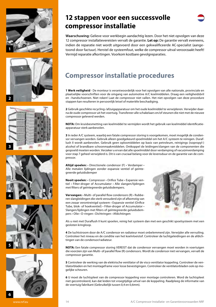













**Waarschuwing:** Gelieve voor werkbegin aandachtig lezen. Door het niet opvolgen van deze 12 compressor installatievereisten vervalt de garantie. **Let op:** De garantie vervalt eveneens, indien de reparatie niet wordt uitgevoerd door een gekwalificeerde AC-specialist (aangetoond door factuur). Herstel de systeemfout, welke de compressor uitval veroorzaakt heeft! Vermijd reparatie afkortingen. Voorkom kostbare gevolgreparaties.

# **Compressor installatie procedures**

**1 Werk veiligheid** - De monteur is verantwoordelijk voor het opvolgen van alle nationale, provinciale en plaatselijke voorschriften voor de omgang van automotive A/C koelmiddelen. Draag een veiligheidsbril en –handschoenen. Niet roken! Laat de compressor niet vallen. Het niet opvolgen van deze procedure stappen kan resulteren in persoonlijk letsel of materiële beschadiging.

**2** Gebruik geschikte recycling-/afzuigapparatuur om het oude koelmiddel te verwijderen. Verwijder daarna de oude compressor uit het voertuig. Transfereer alle schakelaars en/of steunen die niet met de nieuwe compressor geleverd werden.

**NOTA:** Om kruisbesmetting van koelmiddel te vermijden wordt het gebruik van koelmiddel identificatieapparatuur sterk aanbevolen.

**3** In ieder A/C systeem, waarbij een fatale compressor storing is voorgekomen, moet mogelijk de condensor vervangen worden. Gebruik alleen goedgekeurd spoelmiddel om het A/C systeem te reinigen. Duraflush II wordt aanbevolen. Gebruik geen oplosmiddelen op basis van petroleum, reinigings (isopropyl-) alcohol of brandbare schoonmaakmiddelen. Ontkoppel de leidingen/slangen van de componenten die gespoeld moeten worden. Verzeker u ervan dat alle spoelmiddel door verdamping of vacuümverdamping voor stap 7 geheel verwijderd is. Dit is van cruciaal belang voor de levensduur en de garantie van de compressor.

**Altijd spoelen:** • Directionele condensor (F) • Verdamper • Alle metalen lijdingen zonder expansie ventiel of geïntegreerde geluidsdemper

**Nooit spoelen:** • Compressor • Orifice Tube • Expansie ventiel • Filter-droger of Accumulator • Alle slangen/lijdingen met filters of geïntegreerde geluidsdempers.

**Vervangen:** • Multi- of parallel flow condensors (R) • Rubberen slangleidingen die sterk verouderd zijn of afkomstig van een zwaar verontreinigd systeem • Expansie ventiel (Orifice Tube, blok- of hoekventiel) • Filter-droger of Accumulator • Slangen/lijdingen met filters of geïntegreerde geluidsdempers • Olie • O-ringen • Dichtringen • Afdichtingen



Als u niet met Duraflush II kunt spoelen, reinig het systeem dan met een geschikt spoelsysteem met een gesloten kringloop.

**4** De luchtstroom door de A/C condensor en radiateur moet onbelemmerd zijn. Verwijder alle vervuiling. Controleer het niveau en de conditie van het koelvloeistof. Controleer de luchtgeleidingen en de afdichtingen van de condensor/radiateur.

**NOTA:** Een fatale compressor storing VEREIST dat de condensor vervangen moet worden in voertuigen die voorzien zijn van Multi- of parallel flow (R) condensors. Wordt de condensor niet vervangen, vervalt de compressor garantie.

**5** Controleer de werking van de elektrische ventilator of de visco ventilator koppeling. Controleer de ventilatorbladen en het montageframe voor losse bevestigingen. Controleer de ventilatorbladen ook op mogelijke scheuren.

**6** U moet de luchtspleet van de compressor koppeling voor montage controleren. Word de luchtspleet niet gecontroleerd, kan dat leiden tot vroegtijdige uitval van de koppeling. Raadpleeg de informatie van de voertuig fabrikant (Gebruikelijk tussen 0,4 en 0,6mm).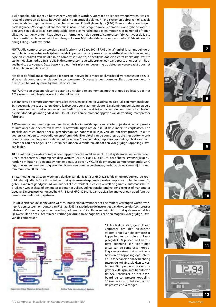**7** Alle spoelmiddel moet uit het systeem verwijderd worden, voordat de olie toegevoegd wordt. Het correcte olie soort en de juiste hoeveelheid zijn van cruciaal belang. R-134a systemen gebruiken olie, zoals door de fabrikant gespecificeerd, over het algemeen Polyalkyleen glycol (PAG). Enkele oudere voertuigen, zoals Jaguar en Volvo gebruiken Ester olie in naar R-134a omgebouwde systemen. Enkele hybride voertuigen vereisen ook speciaal samengestelde Ester olie. Verschillende oliën mogen niet gemengd of tegen elkaar vervangen worden. Raadpleeg de informatie van de voertuig/ compressor fabrikant voor de juiste olie viscositeit en hoeveelheid. Raadpleeg ook onze AC/koelmiddel en compressor olie (R134a Airconditioning Filling Chart) overzicht.

**NOTA:** Alle compressoren worden vanaf fabriek met 80 tot 300ml PAG olie (afhankelijk van model) geleverd. Het is de verantwoordelijkheid van de koper van de compressor om de juistheid van de hoeveelheid, type en viscositeit van de olie in de compressor voor zijn specifieke doeleind en/of koelmiddel vast te stellen. Het kan nodig zijn alle olie in de compressor te verwijderen en een aangepaste olie soort en -hoeveelheid toe te voegen. Deze beperkte garantie is niet van toepassing op defecten, veroorzaakt door het uit acht laten van deze nota.

Het door de fabrikant aanbevolen olie soort en -hoeveelheid moet gelijk verdeeld worden tussen de zuigzijde van de compressor en de overige componenten. Dit verzekert een correcte oliestroom door de compressor en het A/C systeem tijdens het opstarten.

**NOTA:** Om een systeem relevante garantie uitsluiting te voorkomen, moet u er goed op letten, dat het A/C systeem met olie niet over- of ondervuld wordt.

**8** Wanneer u de compressor monteert, alle schroeven gelijkmatig vastdraaien. Gebruik een momentsleutel! Schroeven niet te vast draaien. Gebruik absoluut geen slagmoersleutel. De aluminium behuizing op vele compressoren kan snel scheuren of beschadigd worden, wat tot uitval van de compressor kan leiden, die niet door de garantie gedekt zijn. Houdt u zich aan de moment opgaven van de voertuig-/compressor fabrikant.

**9** Wanneer de compressor gemonteerd is en de leidingen/slangen aangesloten zijn, draai de compressor as (niet alleen de poelie!) ten minste 10 omwentelingen om de olie uit de cilinders te verplaatsen. Een steeksleutel of en ander special gereedschap kan noodzakelijk zijn. Verzuim om deze procedure uit te voeren kan leiden tot vroegtijdige en/of onmiddellijke uitval van de compressor, die niet gedekt wordt door de garantie. Zorg ervoor dat u niet de schroef/moer van de compressor koppelingsplaat aandraait. Daardoor zou per ongeluk de luchtspleet kunnen veranderen, die tot een vroegtijdige koppelingsuitval kan leiden.

**10** Na voltooiing van de voorafgaande stappen moeten vocht en lucht uit het systeem verwijderd worden. Creëer met een vacuümpomp een diep vacuüm (29.5 in.-Hg/-14,2 psi/-0,98 bar of beter is wenselijk) gedurende 45 minuten bij een omgevingstemperatuur boven 27°C. Als de omgevingstemperatuur onder 27°C ligt, of wanneer een voertuig voorzien is van een tweede verdamper, verhoog de evacueer tijd tot een minimum van 60 minuten.

**11** Wanneer u het systeem weer vult, denk er aan dat R-134a of HFO-1234yf de enige goedgekeurde koelmiddelen zijn die de functionaliteit van het systeem en de garantie van de compressor zullen bewaren. Bij gebruik van niet goedgekeurd koelmiddel of dichtmiddel ("Sealer") vervalt de garantie automatisch. Gebruik een weegschaal of een meter tijdens het vullen. Vul niet uitsluitend volgens kijkglas of manometer opgave. De precieze vulhoeveelheid R-134a of HFO-1234yf is van cruciaal belang voor een goed functionerend airconditioning systeem.

Houdt U zich aan de aanbevolen OEM-vulhoeveelheid, wanneer het koelmiddel vervangen wordt. Wanneer U een systeem ombouwt van R12 naar R-134a, raadpleeg de instructies van de voertuig-/compressor fabrikant. Vul geen omgebouwd voertuig volgens de R-12 vulhoeveelheid. Dit zou het systeem onmiddellijk overvullen en resulteert in een verhoogde druk aan de hoge druk zijde en mogelijk vroegtijdige uitval van de compressor.



Eigenversen Value (Racerium-Zirten) System

**Into Chemical** 

**12** Als laatste stap, gebruik een voltmeter om het elektrische stroom circuit van de compressor koppeling te controleren. Raadpleeg de OEM procedure. Een foutieve spanning kan voortijdige uitval van de compressor koppeling veroorzaken. Het wordt aanbevolen de koppeling cyclisch inen uit te schakelen om de hechting tussen de wrijvingsvlakken te verhogen. Bij lopende motor en ongeveer 2000 rpm, met behulp van de A/C schakelaar op het dashboard de compressor koppeling 20 keer in en uit schakelen, om zo de prestatie te verhogen.











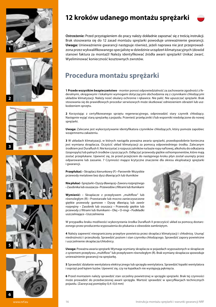











**Ostrzeżenie:** Przed przystąpieniem do pracy należy dokładnie zapoznać się z treścią instrukcji. Brak stosowania się do 12 zasad montażu sprężarki powoduje unieważnienie gwarancji. **Uwaga:** Unieważnienie gwarancji następuje również, jeżeli naprawa nie jest przeprowadzona przez wykwalifikowanego specjalistę w dziedzinie urządzeń klimatyzacyjnych (dowód stanowi faktura za montaż)! Należy identyfikować źródła awarii sprężarki! Unikać zwarć. Wyeliminować konieczność kosztownych zwrotów.

# **Procedura montażu sprężarki**

**1 Przede wszystkim bezpieczeństwo** - monter ponosi odpowiedzialność za zachowanie zgodności z federalnymi, okręgowymi i lokalnymi wymogami dotyczącymi obchodzenia się z czynnikami chłodzącymi układów klimatyzacji. Należy nosić okulary ochronne i rękawice. Nie palić. Nie upuszczać sprężarki. Brak stosowania się do prawidłowych procedur serwisowych może skutkować odniesieniem obrażeń lub uszkodzeniem sprzętu.

**2** Korzystając z certyfikowanego sprzętu regeneracyjnego, odprowadzić stary czynnik chłodzący. Następnie wyjąć starą sprężarkę z pojazdu. Przenieść przełączniki i/lub wsporniki niedołączone do nowej sprężarki.

**Uwaga:** Zalecane jest wykorzystywanie identyfikatora czynników chłodzących, który pomoże zapobiec wzajemnemu zakażeniu.

**3** W układach klimatyzacji, w których nastąpiła poważna awaria sprężarki, prawdopodobnie konieczna jest wymiana skraplacza. Oczyścić układ klimatyzacji za pomocą odpowiedniego środka. Zalecanym środkiem jest Duraflush II. Nie korzystać z rozpuszczalników na bazie ropy naftowej, alkoholu do odkażania (izopropylu) lub palnych środków czyszczących. Odłączyć przewody giętkie od komponentów, które mają zostać przepłukane. Upewnić się, że przed przejściem do następnego kroku płyn został usunięty przez odparowanie lub zassanie. 7 Czynności mające krytyczne znaczenie dla okresu eksploatacji sprężarki i gwarancji.

**Przepłukać:** • Skraplacz kierunkowy (F) • Parownik• Wszystkie przewody metalowe bez dysz dławiących lub tłumików

**Nie płukać** • Sprężarki • Dyszy dławiącej • Zaworu rozprężnego • Zasobnika lub osuszacza • Przewodów z filtrami lub tłumikami

Wymienić: · Skraplacze z przepływem "multiflow" lub równoległym (R) • Przestarzałe lub mocno zanieczyszczone giętkie przewody gumowe • Dyszę dławiącą lub zawór rozprężny • Zasobnik lub osuszacz • Przewody giętkie lub przewody z filtrami lub tłumikami • Olej • O-ringi • Podkładki uszczelniające • Uszczelnienia



W przypadku braku możliwości wykorzystania środka Duraflush II przeczyścić układ za pomocą dostarczonego przez producenta wyposażenia do płukania o obwodzie zamkniętym.

**4** Należy zapewnić nieograniczony przepływ powietrza przez skraplacz klimatyzacji i chłodnicę. Usunąć niedrożności i przeszkody. Sprawdzić poziom i stan czynnika chłodzącego. Sprawdzić zapory powietrzne i uszczelnienie skraplacza/chłodnicy.

**Uwaga:** Poważna awaria sprężarki Wymaga wymiany skraplacza w pojazdach wyposażonych w skraplacze z systemem przepływu "multiflow" lub przepływem równoległym (R). Brak wymiany skraplacza spowoduje unieważnienie gwarancji na sprężarkę.

**5** Sprawdzić działanie wentylatora elektrycznego lub sprzęgła wentylatora. Sprawdzić łopatki wentylatora i osprzęt pod kątem luzów. Upewnić się, czy na łopatkach nie występują pęknięcia.

**6** Przed montażem należy sprawdzić stan szczeliny powietrznej w sprzęgle sprężarki. Brak tej czynności może prowadzić do przedwczesnej awarii sprzęgła. Wartość sprawdzić w specyfikacjach technicznych pojazdu. (Zazwyczaj pomiędzy 0,4 i 0,6 mm)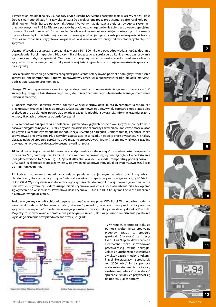**7** Przed wlaniem oleju należy usunąć cały płyn z układu. Krytyczne znaczenie mają właściwy rodzaj i ilość środka smarnego. Układy R-134a wykorzystują środki określone przez producenta, oparte na glikolu polialkalinowym (PAG). Starsze pojazdy jak Jaguar i Volvo wymagają użycia oleju estrowego w systemach przetworzonych na R-134a. Niektóre pojazdy hybrydowe wymagają również oleju estrowego o specjalnej formule. Nie wolno mieszać różnych rodzajów oleju ani wykorzystywać olejów zastępczych. Informacje o prawidłowej lepkości i ilości oleju zamieszczono w specyfikacjach producenta pojazdu/sprężarki. Należy również zapoznać się z przygotowanym przez nas wykazem właściwości czynników chłodzących i oleju do sprężarek.

**Uwaga:** Wszystkie dostarczane sprężarki zawierają 80 – 300 ml oleju pag. odpowiedzialność za dobranie odpowiedniej ilości i typu oleju i/lub czynnika chłodzącego w sprężarce do konkretnego zastosowania spoczywa na nabywcy sprężarki. Czynności te mogą wymagać całkowitego odprowadzenia oleju ze sprężarki i dodania innego oleju. Brak prawidłowej ilości i typu oleju powoduje unieważnienie gwarancji na sprężarkę.

Ilość oleju odpowiedniego typu zalecaną przez producenta należy równo podzielić pomiędzy stronę ssania sprężarki i inne komponenty. Zapewni to prawidłowy przepływ oleju przez sprężarkę i układ klimatyzacji podczas pierwszego uruchomienia.

**Uwaga:** W celu zapobieżenia awarii mogącej doprowadzić do unieważnienia gwarancji należy zwrócić szczególną uwagę na ilość stosowanego oleju, aby uniknąć nadmiernego lub niedostatecznego smarowania układu klimatyzacji.

**8** Podczas montażu sprężarki równo dokręcić wszystkie śruby. Użyć klucza dynamometrycznego! Nie przekręcać. Nie używać klucza udarowego. Części aluminiowej obudowy wielu sprężarek mogą łatwo ulec uszkodzeniu lub pęknięciu, powodując awarię urządzenia nieobjętą gwarancją. Informacje zamieszczono w specyfikacjach producenta pojazdu/sprężarki.

**9** Po zamontowaniu sprężarki i podłączeniu przewodów giętkich obrócić wał sprężarki (nie tylko koło pasowe sprzęgła) co najmniej 10 razy, aby odprowadzić środek smarny z siłowników. Konieczne może okazać się użycie klucza maszynowego lub innego specjalistycznego narzędzia. Zaniechanie tej czynności może spowodować przedwczesną i/lub natychmiastową awarię sprężarki, nieobjętą przez gwarancję. Nie należy obracać nakrętki sprzęgła sprężarki, gdyż może to spowodować nieumyślną zmianę wielkości szczeliny powietrznej, prowadząc do przedwczesnej awarii sprzęgła.

**10** Po zakończeniu poprzednich kroków należy odprowadzić z układu wilgoć i powietrze. Jeżeli temperatura przekracza 27°C, na co najmniej 45 minut uruchomić pompę próżniową, wytwarzając głębokie podciśnienie (pożądane wartości to 29,5 in.-Hg/-14,2 psi/-0,98 bar lub wyższe). Po spadku temperatury poniżej poziomu 27°C bądź jeżeli pojazd wyposażony jest w podwójny układ powietrzny (dual-air system), zwiększyć czas do minimum 60 minut.

**11** Podczas ponownego napełniania układu pamiętać, że jedynymi zatwierdzonymi czynnikami chłodniczymi, które pomagają utrzymać integralność układu i zapewniają ważność gwarancji, są R-134a lub HFO-1234yf. Wykorzystanie niezatwierdzonego czynnika chłodniczego lub oleju powoduje automatyczne unieważnienie gwarancji. Podczas uzupełniania czynników korzystać z podziałki lub miernika. Nie opierać się wyłącznie na wskaźnikach. Prawidłowa ilość czynnika R-134a lub HFO-1234yf ma krytyczne znaczenie dla prawidłowego działania.

Podczas wymiany czynnika chłodniczego zastosować zalecane przez OEM ilości. W przypadku modernizowania do układu R-134a zawsze należy stosować procedury zalecane przez producenta pojazdu/ sprężarki. Nie napełniać zmodernizowanego pojazdu ilością czynnika przewidzianą dla układów R-12. Mogłoby to spowodować automatyczne przeciążenie układu, skutkując wzrostem ciśnienia po stronie wysokiego ciśnienia oraz przedwczesną awarię sprężarki.



Eigenveren Vater (Receive-Drive) System

*<u>Photostori System</u>* 

**12** W ramach ostatniego kroku za pomocą woltomierza sprawdzić przepływ prądu w sprzęgle sprężarki. Skorzystać ze specyfikacji OEM. Nieprawidłowe napięcie elektryczne może spowodować przedwczesną awarię sprzęgła. Zaleca się uruchomienie sprzęgła, co zwiększy zacisk między płytkami. Przy silniku pracującym z prędkością ok. 2000 obr./min za pomocą wyłącznika sterowania na tablicy rozdzielczej włączyć i wyłączyć sprężarkę 20 razy, co przyczyni się do poprawy jakości pracy.











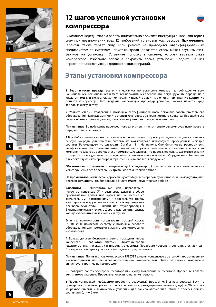











# **12 шагов успешной установки компрессора**

**Внимание:** Перед началом работы внимательно прочтите инструкцию. Гарантия теряет силу при невыполнении всех 12 требований установки компрессора. **Примечание:** Гарантия также теряет силу, если ремонт не проводится квалифицированным специалистом по системам климат-контроля (доказательством может служить счетфактура на установку!)! Устраните поломку в системе, которая вызвала отказ компрессора! Избегайте соблазна сократить время установки. Сведите на нет вероятность последующих дорогостоящих операций.

## **Этапы установки компрессора**

**1 Безопасность прежде всего** - специалист по установке отвечает за соблюдение всех национальных, региональных и местных нормативных требований, регулирующих обращение с хладагентами для систем климат-контроля. Надевайте защитные очки и перчатки. Не курите. Не роняйте компрессор. Несоблюдение надлежащих процедур установки может нанести вред здоровью и имуществу.

**2** Удалите старый хладагент с помощью сертифицированного ремонтно-восстановительного оборудования. Затем демонтируйте старый компрессор из транспортного средства. Передайте все переключатели и /или подвески, которыми не укомплектован новый компрессор.

**Примечание:** Во избежание перекрестного загрязнения настоятельно рекомендуем использовать определитель хладагента.

**3** В любой системе климат-контроля при полном отказе компрессора конденсер подлежит смене в первую очередь. Для очистки системы климат-контроля используйте проверенные моющие составы. Рекомендуем использовать Duraflush II. Не используйте бензиновые растворители, шлифовальные спиртовые (на изопропиле) или горючие очистители. Отсоедините шланги от компонентов, которые собираетесь промывать. Убедитесь, что перед следующим шагом все остатки моющего состава удалены с помощью испарительного или вакуумного оборудования. Решающим для срока службы компрессора и гарантии на него является следующее.

**Обязательно промывать:** • направляющий конденсер (F) • испаритель • все металлические межсоединения без дроссельных трубок или глушителей в сборе

**Не промывать:** • компрессор • дроссельную трубку • терморегулирующий вентиль • аккумулятор или ресивер-осушитель • трубопроводы с фильтрами или глушителями в сборе

**Заменить:** • многопоточные или параллельнопоточные конденсер (R) • резиновые шланги в сборе, прослужившие длительное время или в системе со значительными загрязнениями • дроссельную трубку или терморегулирующий вентиль • аккумулятор или ресиверы-осушители • шланги или трубопроводы с фильтрами или глушителями в сборе • масло • уплотнительные кольца • уплотнительные шайбы • заглушки

Если нет возможности использовать моющий состав Duraflush II, почистите систему с помощью силового оборудования для промывки с замкнутым контуром от изготовителя.

 $IBI$ 

**4** Воздух должен беспрепятственно проходить через конденсер и радиатор системы климат-контроля.

Удалите остатки насекомых и инородные частицы. Проверьте уровень и состояние охладителя. Проверьте спойлеры и уплотнители конденсатора /радиатора.

**Примечание:** Полный отказ компрессора ТРЕБУЕТ замены конденсера в автомобилях, оснащенных многопоточными или параллельно-поточными конденсерами. Отказ от замены конденсера аннулирует гарантию на компрессор.

**5** Проверьте работу электровентилятора или муфту включения вентилятора. Проверьте лопасти вентилятора и крепеж. Проверьте лопасти на наличие трещин.

**6** Перед установкой необходимо проверить воздушный просвет муфты компрессора. Если не проверить воздушный просвет, это может привести к преждевременному отказу муфты. Обратитесь за разъяснениями к техническим условиям для вашего автомобиля (обычно просвет должен составлять 0,4 – 0,6 мм)

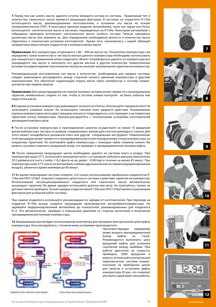**7** Перед тем как залить масло, удалите остатки моющего состава из системы. Правильный тип и количество смазочного масла являются решающим фактором. В системах на хладагенте R-134a используются масла, рекомендованные изготовителем, в основном это масла на основе полиакиленгликоля (ПАГ). В некоторых прежних моделях автомобилей, таких как Jaguar или Volvo, используется синтетическое масло в системах, переведенных на R-134a. Некоторые автомобили с гибридным приводом используют синтетическое масло особого состава. Нельзя смешивать различные масла или заменять их. Для определения необходимой вязкости и количества масла обратитесь к техническим условиям изготовителя. Кроме того, ознакомьтесь с нашей таблицей заправочных емкостей для хладагентов и компрессорных масел.

**Примечание:** Все компрессоры отгружаются с 80 – 300 мл масла паг. Покупатель компрессора сам определяет, какое количество и тип масла внутри данного компрессора необходимо использовать для конкретного применения и/или хладагента. Может потребоваться удалить из компрессора все находящееся там масло и заполнить его другим маслом в другом количестве. Невыполнение условия по корректировке типа и количества масла означает анулирование гарантии на компрессор.

Рекомендованный изготовителем тип масла в количестве, необходимом для зарядки системы, следует равномерно распределить между стороной низкого давления компрессора и другими компонентами. Это обеспечит надлежащую подачу масла через компрессор и систему климатконтроля при первом запуске.

**Примечание:** Для предотвращения системной поломки, которая может привести к аннулированию гарантии, внимательно следите за тем, чтобы в системе климат-контроля не было избытка или недостатка масла.

**8** Во время установки компрессора равномерно затяните все болты. Используйте торцевой ключ! Не затягивайте слишком сильно. Не используйте гаечный ключ ударного действия. Алюминиевые корпуса компрессоров легко дают трещины или могут повреждаться, а это приведет к не покрытому гарантией отказу компрессора. Проконсультируйтесь с техническими условиями изготовителей автомашин/компрессоров.

**9** После установки компрессора и присоединения шлангов осуществите не менее 10 вращений валом компрессора (не просто шкивом, соединенным с валом) для очистки цилиндра от смазки. Для этого может понадобиться рычажной ключ или другой специальный инструмент. Невыполнение этой процедуры может привести к преждевременному и\или немедленному отказу компрессора, не покрытому гарантией. Не затягивайте муфту компрессора с помощью гайки слишком сильно. Вы можете случайно изменить воздушный зазор, что приведет к преждевременной поломке муфты.

**10** После завершения предыдущих шагов необходимо удалить из системы влагу и воздух. При температуре выше 27°C используйте вакуумный насос с установкой глубокого вакуума (желательно 29.5 дюймов ртутного столба /-14,2 фунта на кв. дюйм / -0,98 бар) в течение не менее 45 минут. При температуре ниже 27°C или если автомобиль снабжен двухканальной системой кондиционирования воздуха, увеличьте время минимум до 60 минут.

**11** Во время перезарядки системы помните, что только использование одобренных хладагентов R-134a или HFO-1234yf позволит сохранить целостность системы и действие гарантии на компрессор. Использование несанкционированного хладагента или смазочного масла автоматически аннулирует гарантию. Во время зарядки используйте рулетку или метр. Не полагайтесь только на датчики панели приборов. Точная зарядка хладагентами R-134a или HFO-1234yf является решающим фактором для успешной работ системы.

При замене хладагента используйте рекомендации по зарядке от изготовителей. При переходе на хладагент R-134a всегда следуйте процедурам производителя автомобиля/компрессора. Не заряжайте модернизированный автомобиль до показателей, рекомендованных для хладагента R-12. Это автоматически приведет к повышению давления со стороны нагнетания и возможной преждевременной поломке компрессора.

**12** Завершающим шагом будет использование вольтметра для проверки электрической цепи муфты компрессора. Консультируйтесь с техническими условиями производителя.



Expansion Valva (Receiver-Drief) System

Critical Table (Accommister) System

Несоответствующее напряжение может вызвать преждевременный<br>выход муфты из строя. муфты из строя. Рекомендуется выполнить цикл вращений муфты для усиления сцепления между шайбами. При работе двигателя на скорости, примерно, 2000 вращений в минуту, используйте контрольный переключатель системы климатконтроля на приборном щитке для запуска и остановки муфты компрессора 20 раз, что позволит улучшить характеристики работы.













Установка Компрессора Кондиционера и Гарантийные Требования NRF 19 19 19 19 www.nrf.eu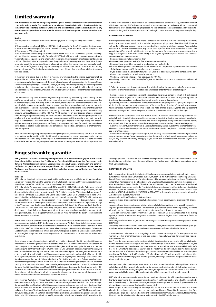## **Limited warranty**

**NRF warrants its air-conditioning components against defects in material and workmanship for 12 months as long as the first purchaser at retail owns the vehicle in which the air-conditioning component was originally installed. Chemicals, and lubricants are specifically excluded from any warranty coverage and are non-returnable. Service tools and equipment are warranted on a repair basis only.** 

### **Notice**

NRF requires, that any repair of an air-conditioning system is accomplished by a qualified AC- specialist.

NRF requires the use of new R-134a or HFO-1234yf refrigerants. Further, NRF requires the type, visco-sity and amount of oil as specified by the OEM vehicle being serviced for the specific refrigerant. For R-134a systems, PAG oil is required.

Note: Some older vehicles (Jaguar and Volvo) use ESTER oil in R-134a converted systems. Some hy-brid vehicles also require specially formulated ESTER oil. NRF sources its new compressors from a variety of original equipment and aftermarket suppliers. All compressors are shipped containing 80 - 300ml of PAG oil. It is the responsibility of the purchaser of the compressor to determine the appropriateness of the amount and type of oil contained within that compressor for a particular application and/or refrigerant. It may require removing all oil contained in the compressor and adding another oil amount. This limited warranty does not cover failures that result from a failure to comply with this notice.

In the event of a failure due to a defect in material or workmanship, the original purchaser shall be responsible for presenting the air-conditioning component at a participating NRF facility. In the event the warranty claim is approved, the original purchaser shall be responsible for the cost of labor, any necessary refrigerant (R-134a or HFO-1234yf), and any additional parts required to complete the installation of a replacement air-conditioning component in the vehicle in which the air-conditioning component was originally installed. This limited warranty expires 12 months after the first date of purchase.

This limited warranty does not cover engine damage caused by overheating of the cooling system and/or air-conditioning system. NRF is not responsible for air-conditioning component damage due to operator negligence, including, but not limited to, the failure of the operator to monitor and comply with lights, gauges and/or other signs or signals warning of impending engine and or transmission overheating. This limited warranty does not extend to air-conditioning component failure that sion overneating. This immed warranty does not extend to air-conditioning component randie that unsound vehicle. Please consult the NRF A/C PARTS catalog for an identification of appropriate airconditioning component model(s). If NRF discontinues a model of air-conditioning component in its catalog or the air-conditioning component becomes obsolete, this warranty is null and void with respect to that model. NRFreserves the right to change or improve the design of any NRF product without assuming any obligation to modify any product previously manufactured. This limited war-ranty does not apply if the air-conditioning component was used as a component in another manufacturer's product.

If the air-conditioning component (not including compressors, covered below) fails due to a defect in material or workmanship within the 12 month warranty period return the defective air-conditioning component with a copy of the original purchase receipt to a participating facility to verify the cause of the air-conditioning component failure. Retain your original receipt for future proof of ow-

## **Eingeschränkte garantie**

**NRF garantiert für seine Klimaanlagenkomponenten 24 Monate Garantie gegen Material- und Herstellungsfehler, solange der Erstkäufer im Einzelhandel Eigentümer des Fahrzeuges ist, in dem die Klimaanlagenkomponente ursprünglich eingebaut wurde. Chemikalien und Schmier-stoffe sind von jeglicher Garantie ausgeschlossen und können nicht zurückgenommen werden. Wartungs- und Reparaturwerkzeuge und -Gerätschaften stehen nur auf Basis einer Reparatur unter Garantie.**

### **Hinweise**

NRF verlangt, dass jegliche Reparatur an einer Klimaanlage nur von qualifizierten Klima-Spezialisten<br>Ausgeführtungslag, Himmis: Die Gesentie arliecht, fells die Peneratur giebt von gualifizierten Klima ausgeführt werden. Hinweis: Die Garantie erlischt, falls die Reparatur nicht von qualifizie Spezialisten ausgeführt wird (Durch Rechnungsbeleg nachzuweisen).

NRF verlangt die Verwendung von neuen R-134a oder HFO-1234yf Kältemitteln. Außerdem verlangt NRF nach Öl der Sorte, Viskosität und Menge wie vom Fahrzeughersteller vorgeschrieben, das mit dem spezifischen Kältemittel gewartet wurde. Für R-134a-Systeme ist PAG erforderlich. Achtung: Einige ältere Fahrzeuge (z.B. Jaguar und Volvo) verwenden ESTER-Öl in umgebauten R-134a-Systemen. Einige Hybrid-Fahrzeuge benötigen auch ein speziell hergestelltes ESTER-Öl. NRF bezieht sei-ne ausschließlich neuen Kompressoren von verschiedenen Erstausrüstungs- und Ersatzteillieferanten. Alle Kompressoren werden ab Werk mit 80 bis 300ml PAG-Öl geliefert. Es liegt in der Verantwortung des Käufers des Kompressors die Richtigkeit der Menge und Art des Öls im Kompressor für seine spezielle Anwendung und/oder das Kältemittel festzustellen. Unter Umständen kann es erforderlich sein, das gesamte Öl im Kompressor abzulassen und eine angepasste Öl-menge aufzufüllen. Diese eingeschränkte Garantie gilt nicht für Fehler, die durch Nichtbeachtung dieses Hinweises entstehen.

Im Fall eines Material- oder Herstellungsfehlers ist der Erstkäufer dafür verantwortlich die Klimaanlagenkomponente bei einer NRF-Niederlassung vorzuzeigen. Wird der Garantiefall akzeptiert, ist der Erstkäufer dafür verantwortlich, die anfallenden Kosten für Arbeit, erforderliches Kältemittel (R-134a oder HFO-1234yf) und alle zusätzlichen Materialien zu tragen, die zur Fertigstellung des Einbaus der Ersatzklimaanlagenkomponente im Fahrzeug notwendig sind, in dem die Klimaanlagenkomponente ursprünglich eingebaut war. Diese eingeschränkte Garantie erlischt 24 Monate nach dem Erstkaufdatum.

Diese eingeschränkte Garantie gilt nicht für Motorschäden, die durch Überhitzung des Kühlsystems und/oder des Klimaanlagensystems verursacht wurden. NRF ist nicht verantwortlich für Schäden an Klimaanlagenkomponenten aufgrund von Fahrlässigkeit und Bedienungsfehler wie z.B. die Vernachlässigung der Überwachung von Warnleuchten- und Sensoren oder sonstige Warnsignale, die eine drohende Überhitzung von Motor oder Getriebe ankündigen. Diese eingeschränkte Garantie erstreckt sich nicht auf Schäden an Klimaanlagenkomponenten, die aufgrund des Einbaus der Klimaanlagenkomponente in unzulässige oder technisch ungeeignete Fahrzeuge entstanden sind. Bitte konsultieren Sie den NRF Klimateile-Katalog für die Identifikation und Teileverwendbarkeiten der Klimaanlagenkomponenten. Bietet NRF ein Modell der Klimaanlagenkomponente im aktuellen Katalog nicht mehr an, oder wird die Klimaanlagenkomponente technisch überholt, verliert diese Garantie ihre Gültigkeit für dieses Modell. NRF behält sich das Recht vor, die Konstruktion jedes NRF-Produktes zu ändern oder zu verbessern ohne vorherig hergestellte Produkte verändern zu müssen. Diese eingeschränkte Garantie gilt nicht, wenn die Klimaanlagenkomponente als Komponente in einem Produkt eines anderen Herstellers verwendet wurde.

Im Falle eines Ausfalls der Klimaanlagenkomponente (exklusive Kompressor, siehe KOMPRESSOR GARANTIE unten) aufgrund eines Material- oder Herstellungsfehlers innerhalb der 24-monatigen Garantiezeit, können Sie die defekte Klimaanlagenkomponente zusammen mit einer Kopie des Kaufbelegs an einen Partnerbetrieb zurückbringen, um den Grund des Komponentenausfalls feststellen zu lassen. Bewahren Sie den original Kaufbeleg als Eigentumsnachweis auf. Wird festgestellt, dass der Grund des Ausfalls ein Material- oder Herstellungsfehler im Sinne dieser eingeschränkten Garantie ist, wird NRF ein Austauschteil zur Verfügung stellen oder Ihnen eine Gutschrift ausstellen. Alle

nership. If the problem is determined to be a defect in material or workmanship, within the terms of this limited warranty. NRF will provide you with a replacement part or credit note. All parts submitted for warranty must be returned freight prepaid. All risks of loss or damage are retained by the customer while the goods are in the possession of the freight carrier en route to the participating facility.

## **COMPRESSOR WARRANTY**

If a compressor covered herein fails due to a defect in workmanship or materials during the warranty period, you must return it with suction and discharge covers (plugs, caps, plates) installed. Warranty will be denied for compressors that are returned without suction or discharge covers. You must also return the accumulator/receiver-drier, expansion device (orifice tube, expansion valve, or liquid line containing orifice tube). In addition, to receive the warranty for compressors, you must provide a *copy of the original purchase receipt and a copy of the original repair order*\*, which states that the folloppy or the original parentise receipt<br>ring procedures were performed:

- Replaced the accumulator/receiver drier.
- Replaced the expansion device (orifice tube or expansion valve). • Replaced hose assemblies containing mufflers (cannot be flushed).
- 
- Flushed all components not being replaced. Never flush a compressor. If you are unable to successfully flush a component(s), then replacement is required • If you experience a major system failure or are unable to adequately flush the condenser,the con-
- denser must be replaced to validate the warranty
- Used only approved oil as specified above, under NOTICE.

• Used only pure R-134a or HFO-1234yf refrigerants. Blend or hydrocarbon refrigerants will void all warranties.

\* Failure to provide this documentation will result in denial of the warranty claim for compressors. Retain your original purchase receipt and original repair order for future proof of repairs.

The replacement of the component shall be the sole and exclusive remedy to which NRF is obligated and to which the original retail purchaser is entitled. NRF shall not be liable for any consequental or

incidental damages of any kind resulting from the order or use of its products. Specifically, NRF is not liable for the reimbursement of the original purchase price, the expense of delivering the product back to the owner, loss of the use of the vehicle, loss of time or inconvenience, towing charges, mechanic's travel time, telephone, hotel or meal expenses, rental of a replacement vehicle, lost wages, and any other special, incidental, consequential, or punitive damages.

NRF warrants the component to be free from all defects in material and workmanship as limited he-rein shall be in lieu of all other warranties, expressed or implied, including warranties of merchantability and fitness for a particular purpose, and all such expressed or implied warranties are hereby disclaimed. NRF does not assume or authorize anyone to assume for them any other obligation. This limited warranty is not transferable and is automatically null and void in the event that the vehi-

cle in which the air-conditioning component has been installed is sold, leased, or otherwise transferred to another owner.

This limited warranty gives you specific rights, and you may also have other or different rights, which vary from state to state. Some states do not allow the exclusion of incidental or consequential dama-.<br>, so any such limitation may not apply to you. Submit all warranty communication to your local NRF sales office.



zurückgegebenen Garantiefälle müssen FREI zurückgesendet werden. Alle Risiken von Verlust oder Beschädigung verbleiben beim Kunden, während das Produkt vom Lieferdienst an den Partnerbetrieb versendet wird.

## **KOMPRESSOR GARANTIE**

Falls ein von dieser Garantie inkludierter Klimakompressor aufgrund eines Material- oder Herstellungsfehlers während der Garantiezeit ausfällt, müssen Sie ihn mit verschlossenen Saug- und Druckanschlüssen (Abdeckungen wie Stopfen, Kappen, Platten verwenden) retournieren. Die Garantie erlischt für Kompressoren, die ohne Saug- und Druckanschlussabdeckungen zurückgegeben wer-den. Außerdem müssen Sie den Filter-Trockner/Akkumulator und das Drosselventil (Festdrossel (Orifice tube), Expansionsventil, oder Flüssigkeitsleitung inkl. Drosselventil) zurückgeben. Zusätzlich müssen Sie, um die Garantie für Kompressoren zu erhalten, eine KOPIE des ORIGINAL KAUFBELEGS\* und eine KOPIE des ORIGINAL REPARATUR-AUFTRAGES\* beilegen, die belegen, dass die folgenden

Arbeitsschritte ausgeführt wurden: • Austausch des Filter-Trockners / Akkumulators.

• Austausch des Drosselventils (Orifice tube, Expansionsventil oder Flüssigkeitsleitung inkl. Drosselventil).

• Austausch von Schlauchleitungen mit integrierten Schalldämpfer (kann nicht gespült werden). • Spülung aller nicht ausgetauschten Komponenten. (Spülen Sie niemals den Kompressor!). Wenn Sie

eine oder mehrere Komponenten nicht spülen können, müssen sie ersetzt werden. • Liegt ein schwerwiegender Systemfehler vor, oder können Sie den Kondensator nicht richtig spülen, muss der Kondensator ausgetauscht werden, um die Gültigkeit dieser Garantie aufrecht zu erhalten.

• Nutzung von Öl nach der Art, Viskosität und Menge wie vom Fahrzeughersteller vorgegeben. Siehe HINWEISE!

• Nutzung von ausschließlich neuen R-134a oder HFO-1234yf Kältemitteln. Bei Verwendung von ge-mischten Kältemitteln oder Kältemitteln auf Kohlenwasserstoffbasis erlischt die Garantie.

\* Werden diese Dokumente nicht vorgelegt, erlischt der Garantieanspruch für Kompressoren. Bewahren Sie den original Kaufbeleg und den original Reparatur-Auftrag für zukünftige Reparaturnachweise auf.

Der Ersatz der Komponente ist die einzige und alleinige Garantieleistung, zu der NRF verpflichtet ist, und zu der der Käufer berechtigt ist. NRF haftet nicht für Folge- oder Zufallsschäden jeglicher Art, die durch die Bestellung oder den Gebrauch seiner Produkte entstehen. NRF ist ausdrücklich nicht haftbar für die Erstattung des original Kaufpreises, die Kosten für die Versendung des Produktes zurück an den Besitzer, Ausfallzeiten des Fahrzeuges, Zeitverlust und Unannehmlichkeiten, Abschleppkosan den besitzer, Adsianzeiten des Fanrzeuges, Zeitverlust und Unannemmichkeiten, Abschieppkos-<br>ten, Kosten für Reisezeit des Mechanikers, Telefon, Hotel oder Verpflegung, Miet- oder Ersatzfahrzeug, Verdienstausfall und jegliche andere spezielle, einmalige, besondere Folgekosten oder Schazeug, veruieristausiaii<br>denercatzforderungen

NRF garantiert, dass die Komponente frei ist von allen Material- und Herstellungsfehlern. Als Einschränkung gilt hier, anstatt aller anderen Garantien, ausdrücklich oder stillschweigend, einschließlich Garantien der Marktgängigkeit und der Eignung für einen bestimmten Zweck, und alle derartigen ausdrücklichen oder stillschweigenden Gewährleistungen hiermit abgeleh

NRF wird nicht annehmen oder autorisieren, dass irgendjemand für NRF irgendeine andere Verpflichtung übernimmt. Diese eingeschränkte Garantie ist nicht übertragbar und erlischt automatisch, wenn das Fahrzeug, in dem die Klimaanlagenkomponente eingebaut ist, verkauft, geleast oder anderweitig auf einen anderen Besitzer übertragen wird.

Diese eingeschränkte Garantie gibt Ihnen spezifische Rechte, aber Sie können andere und abwei-chende Rechte haben, die von Land zu Land variieren können. Einige Länder erlauben den Ausschluss von Folge- oder Zufallsschäden nicht, sodass diese Einschränkungen nicht auf Sie zutreffen. Überreichen Sie alle Garantiedokumente an Ihre zuständige NRF-Niederlassung.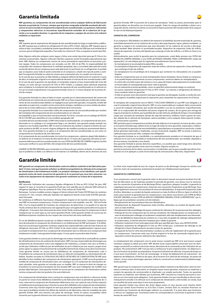## **Garantía limitada**

**NRF garantiza sus componentes de aire acondicionado contra cualquier defecto de fabricación**  ,<br>1te un periodo de 12 meses, siempre que el primer comprador al detalle sea dueño del vehí **culo en el cual se instaló el componente original de aire acondicionado. Los químicos, lubricantes y componentes eléctricos se encuentran específicamente excluidos de la cobertura de la ga-rantía y no se pueden devolver. La garantía de las máquinas y equipos de servicio será cubierta mediante su reparación.**

**Aviso** NRF requiere que las reparaciones del equipo de aire acondicionado las haga un especialista cualificado. NRF requiere que se utilicen los refrigerantes R-134a o HFO-1234yf . Además, NRF requiere que se utilice el tipo, viscosidad y cantidad de aceite especificada en el vehículo OEM que está recibiendo el servicio, para el refrigerante específico. Para todos los sistemas R-134a, se requiere el aceite tipo PAG.

Nota: Algunos vehículos antiguos como Jaguar y Volvo usan aceite tipo éster para gas R-134a en los sistemas reconvertidos. Algunos vehículos híbridos requieren aceite formulado especialmente tipo éster. NRF obtiene sus compresores nuevos de varios proveedores especialistas en posventa y primer equipo. Todos los compresores son enviados con 80- 300 ml de PAG. Es responsabilidad del comprador del compresor determinar la cantidad apropiada, tipo y viscosidad adecuada del aceite contenido dentro de ese compresor para cada aplicación en particular y/o su refrigerante. Es posible que se requiera vaciar todo el aceite contenido en el compresor y añadir otro tipo de aceite o cantidad. Esta garantía limitada no cubre las roturas que se presenten por no cumplir con este aviso.

En el caso de que se presente un fallo debido a cualquier defecto de fabricación en material o mano de obra, el comprador original es el responsable de devolver el artículo de aire acondicionado a NRF. En el caso de que la garantía sea aprobada, el comprador original se hace responsable del costo del trabajo, así como del gas necesario (R-134a or HFO-1234yf), y cualquier pieza adicional requerida para completar la instalación del componente de repuesto de aire acondicionado en el vehículo en el cual se instaló originalmente. Esta garantía limitada vence en 12 meses después de la primera fecha de compra.

Esta garantía limitada no cubre el daño al motor causado por el sobrecalentamiento del sistema de enfriamiento y/o sistema de aire acondicionado. NRF no se hace responsable por el daño del compo-nente de aire acondicionado debido a la negligencia por parte del operador, incluyendo, el fallo del operador en supervisar y cumplir con los avisos de los testigos, medidores y/u otras señales de advertencia de un motor defectuoso o sobrecalentamiento de la transmisión.

Esta garantía limitada no es extensible a fallos de componentes de aire acondicionado que resulten del reemplazo del componente de aire acondicionado en un vehículo

incompatible o que no funcione bien mecánicamente. Por favor, consulte con el catálogo de PIEZAS DE A/C DE NRF para identificar el o los modelos apropiados del

recambio del aire acondicionado. Si NRF interrumpe la continuidad de un componente de aire acondicionado en su catálogo o el componente llega a ser obsoleto, esta garantía queda anulada con<br>respecto a ese modelo específico. NRF se reserva el derecho de cambiar o mejorar el diseño de cual-<br>quier producto de NRF sin a dos. Esta garantía limitada no se aplica si el componente del aire acondicionado se usó como un componente en el producto de otro fabricante.

Si el componente de aire acondicionado (sin incluir los compresores, cubiertos abajo) falla debido a un defecto en el material o la mano de obra dentro de los 12 meses de la garantía, devuelva el com-ponente defectuoso del aire acondicionado con una COPIA del RECIBO DE COMPRA original y facilite causa para verificar la causa del fallo del componente del aire acondicionado.

GUARDE SU RECIBO ORIGINAL para comprobar en el futuro de que usted es el dueño. Si se determina que el problema se debe a un defecto en el material o la habilidad, dentro de los términos de esta

## **Garantie limitée**

**NRF garantit ses composants de climatisation contre les défauts matériels et de fabrication pendant 12 mois, tant que le premier acheteur au détail est propriétaire du véhicule où le composant de climatisation a été initialement installé. Les produits chimiques et les lubrifiants sont spécifi-quement exclus de toute couverture de garantie et ils ne peuvent pas nous être retournés. Les outils et les équipements de réparation sont garantis seulement sur la base de la réparation.**

### **Notification**

NRF nécessite l'utilisation des nouveaux liquides réfrigérants R-134a ou HFO-1234yf. De plus, NRF requiert le type, la viscosité et la quantité d'huile qui sont spécifiés par le véhicule OEM utilisant le réfrigérant spécifique. Pour les systèmes R-134a, il faut utiliser de l'huile PAG.

Remarque : Certains modèles anciens (Jaguar et Volvo) utilisent de l'huile d'ESTER dans les systèmes convertis R-1 34a. Certains véhicules hybrides ont également besoin d'une huile d'ESTER spécialement formulée.

De nombreux et différents fournisseurs d'équipement original et de marchés secondaires fournissent NRF en nouveaux compresseurs. Certains compresseurs sont expédiés avec 80 – 300 ml d'huile PAG. C'est la responsabilité de l'acheteur du compresseur de determiner si ta qualité et le type de l'huile contenue dans le compresseur sant appropriés pour une application particulière et/ou pour le réfrigérant. Il sera peut-être nécessaire de retirer toute l'huile contenue dans le compresseur et de la remplacer par un autre type ou une autre quantité d'huile. Cette garantie limitée ne couvre pas les défaillances/pannes résultant du non-respect des instructions de cette notification.

En cas de défaillance/panne causée par un défaut matériel ou de fabrication, l'acheteur original est tenu de présenter le composant de climatisation à un établissement de NRF participant. Si la défaillance est couverte par la garantie, l'acheteur original sera responsable des coûts de main d'œuvre, du réfrigérant nécessaire (R-134a ou HFO-1234yf) et de toutes pièces supplémentaires requises pour accomplir le remplacement d'un composant de climatisation dans le véhicule où le composant était initialement installé. Cette garantie limitée expire 12 mois après la première date d'achat.

Cette garantie limitée ne couvre pas les dommages du moteur résultant de la surchauffe du système de refroidissement et/ou du système de climatisation. NRF n'est pas responsable des dommages aux composants de climatisation suite à une négligence de l'utilisateur, y compris mais sans se limiter à, au fait que l'utilisateur n'effectue pas de vérification ou qu'il n'obéisse pas aux voyants, jauges et/ou autres signes ou signaux d'avertissement de surchauffe imminente du moteur et/ou de la transmission. Cette garantie limitée ne couvre pas les défaillances de composants de climatisation suite à l'installation du composant de climatisation dans un véhicule incompatible ou mécaniquement défaillant. Veuillez consulter le CATALOGUE DES PIÈCES DÉTACHÉES DE CLIMATISATIONS DE NRF pour identifier le (les) modèle(s) des composants de climatisation appropriés. Si NRF cesse de produire un modèle de composant de climatisation dans son catalogue ou si le composant de climatisation devient obsolète, cette garantie est annulée pour ce modèle. NRF se réserve le droit de changer ou d'améliorer la construction/conception de tout produit NRF sans avoir l'obligation de modifier tout produit déjà fabriqué. Cette garantie limitée ne couvre pas les composants de climatisation utilisés comme composants dans les produits d'un autre fabricant.

Si le composant de climatisation (sans y inclure les compresseurs qui sont décrits ci-dessous) tombe en panne en raison d'une défaillance matérielle ou de fabrication dans la période de garantie de 12 ume en russon a une acrumance materiene ou de rusheation dans la periode de gurantie e<br>s, retournez le composant de climatisation défectueux avec une copie du reçu d'achat origi un établissement participant pour chercher la cause de la défaillance du composant de climatisation. Conservez votre reçu d'achat original en tant que preuve de propriété ultérieure. Si nous détermi-nons que le problème résulte d'un défaut de matériel ou de fabrication selon les modalités de cette garantie limitée, NRF vous fournira une pièce de rechange. Toutes les pièces susceptibles d'être couvertes par la garantie doivent nous être retournées en frais de transport prépayé.

garantía limitada, NRF le proveerá de la pieza de reemplazo. Todas las piezas presentadas para la garantía deben ser devueltas con el envío pre-pagado. Todos los riesgos de pérdidas o daños son a cargo del cliente, mientras los bienes se encuentran bajo la posesión del transportador de la carga en la ruta a la facilidad participante.

### **GARANTíA DEL COMPRESOR**

Si un compresor falla debido a un defecto de material o la habilidad, durante el periodo de garantía, usted debe devolverlo con las cubiertas de succión y descarga (tapones, tapas y platos) instalados. La garantía se negará a los compresores que sean devueltos sin las cubiertas de succión o descarga. Usted también debe devolver el acumulador/secador, dispositivo de expansión (tubo de orificio, válvula de expansión o la línea del líquido que contenga el tubo de orificio), y el filtro en línea (si es usado).

Adicionalmente, para recibir la garantía para los compresores, usted debe proveer una COPIA del RECIBO DE COMPRA ORIGINAL y una COPIA del PEDIDO ORIGINAL PARA LA REPARACIÓN (orden de reparación)\*, el cual indique que los siguientes procedimientos fueron hechos: • Se reemplazaron el acumulador/receptor/filtro secador.

• Se reemplazó el dispositivo de expansión (tubo de orificio, válvula de expansión o línea del líquido que contenga el tubo de orificio). • Se reemplazaron los ensamblaies de la manguera que contienen los silenciadores (no se pu<br>• Se reemplazaron los ensamblaies de la manguera que contienen los silenciadores (no se pu

limpiar). • Todos los componentes que no serán reemplazados fueron limpiados. Nunca limpie un compresor.

Si no puede limpiar exitosamente un/unos componentes, entonces deben ser reemplazado(s). • Si usted sufre una fallo mayor del sistema o no es capaz de limpiar adecuadamente el condensador,

el mismo debe ser reemplazado para hacer valer la garantía. • Se usó solamente el aceite aprobado, como se especificó anteriormente (abajo se comenta).

• Se usaron solamente refrigerantes R-134a or HFO-1234yf . Las mezclas o refrigerantes de hidrocarburos anularán todas las garantías.

• Si falla en proveer estos documentos hará que la garantía sea denegada. Guarde su recibo de compra original y el pedido original para la reparación, para comprobar las reparaciones en el futuro.

El reemplazo del componente será el ÚNICO Y EXCLUSIVO REMEDIO al cual NRF está obligado y al cual el comprador original tiene derecho. NRF no sera responsable por cualquier daño consecuente da comprador original tiene derecho. NRF no sera responsable por cualquier daño consecue o casual de cualquier naturaleza, que resulte del pedido o uso de sus productos. Específicamente, NRF no es responsable del reembolso del precio original de compra, de los gastos por entrega de regreso el producto al cliente, por la pérdida del uso del vehículo, pérdida de tiempo o incomodidad, cargos por concepto de remolque, tiempo de viaje del mecánico, teléfono, hotel o gastos de comi-das, alquiler de un vehículo de reemplazo, salarios perdidos, y otro cualquier daño especial, incidental, consecuente o punitivo.

NRF garantiza que el componente está libre de todo defecto en el material y la mano de obra, como se encuentra limitado aquí, deberá estar en lugar de todas las otras garantías, expresadas o implicadas, incluyendo las garantías de mercantibilidad y capacidad para un propósito en particular, y todas dichas garantías expresadas o implicadas, son por el presente, negadas. NRF no asume o autoriza a nadie para que asuma por ellos, cualquier otra obligación.

Esta garantía limitada no es transferible y es automáticamente anulada en el momento de que el vehículo en el cual se ha instalado el componente del aire acondicionado, sea vendido, alquilado o de otra manera, transferido a otro dueño.

Esta garantía limitada le provee derechos específicos y es posible que usted tenga otros derechos diferentes, los cuales pueden variar entre los estados. Algunos estados no

permite la exclusión de los daños consecuentes o incidentales, por lo que es posible que dichas limi-taciones no se le apliquen a usted. Envíe todo tipo de comunicación a Warranty Department.

Le client reste responsable de tous les risques de perte ou de dommages lorsque les articles sont entre les mains du transporteur acheminant le produit vers l'établissement participant.

O

### **GARANTIE DU COMPRESSEUR**

Si un compresseur couvert par la garantie selon ce document connaît une panne résultant d'un défaut de fabrication ou de matériaux pendant la période de garantie, vous devez nous le retourner avec les couvercles d'aspiration et de décharge (fiches, capuchons, plaques) installés. La garantie ne s'appliquera pas pour les compresseurs retournés sans couvercles d'aspiration ou de décharge. Vous devez également retourner l'accumulateur/le réservoir déshydrateur, le dispositif d'expansion (tube d'orifice, détendeur ou conduit de liquide contenant un tube d'orifice) et filtre en ligne (si utilisé). En utre, pour recevoir la garantie pour les compresseurs, vous devez nous fournir une COPIE du REÇU D'ACHAT ORIGINAL et une COPIE du BON DE COMMANDE ORIGINAL POUR LA RÉPARATION,\* qui indique que les procédures suivantes ont été réalisées :

• Remplacement de l'accumulateur/réservoir déshydrateur. • Remplacement du dispositif d'expansion (tube d'orifice, détendeur ou conduit de liquide contenant un tube d'orifice).

- Remplacement des assemblages de tuyaux contenant les silencieux (ils ne peuvent pas être vidangés). Vidange de tous les composants qui ne sont pas remplacés. Ne vidangez jamais un compresseur. Si vous ne réussissez pas à vidanger un ou plusieurs composants, alors leur remplacement sera nécessaire.
- En cas de défaillance importante du système ou si vous êtes incapable de vidanger adéquatement le condensateur, ce dernier doit être remplacé pour valider la garantie.
- Utilisation seulement d'une huile approuvée telle que spécifiée plus haut, sous NOTIFICATION.
- Utilisation seulement de réfrigérants R-134a ou HFO-1234yf purs. L'utilisation de mélange ou de réfrigérants à base d'hydrocarbures annulera toutes les garanties.
- L'incapacité de fournir cette documentation conduira au refus de l'application de la garantie pour les compresseurs. Conservez votre reçu d'achat original et le bon de commande original pour la réparation comme des preuves ultérieures des réparations.

Le remplacement des composants sera le seule recours accepté par NRF et le seul recours auquel l'acheteur original au détail aura droit. NRF décline toute responsabilité concernant tous les dommages consécutifs ou indirects de toute nature, découlant de la commande ou de l'utilisation de ses produits. Plus précisément, NRF n'est pas tenu à rembourser le prix original d'achat ; les dépenses liées à la livraison du produit au propriétaire, à la perte d'utilisation du véhicule, à la perte de temps ou à tout autre inconvénient ; les frais de remorquage ; le temps de déplacement du mécanicien ; les dépenses de téléphone, d'hôtel ou de repas, de la location d'un véhicule de rechange ; les pertes de salaires ; et tous autres dommages spéciaux, indirects, consécutifs ou indemnisations/dédommagements punitifs.

NRF garantit que le composant ne présentera aucun défaut matériel et de fabrication selon les limitations contenues dans ce document, et remplace toutes autres garanties, expresses ou implicites, y compris les garanties de commercialité et d'aptitude à un emploi particulier. Toutes ces garanties expresses ou implicites sont réfutées par la présente. NRF n'assume ou n'autorise personne à assumer en son nom toute autre obligation. Cette garantie limitée n'est pas transférable et elle est automatiquement annulée si le véhicule où le composant de climatisation a été installé, est vendu, loué perment annuite si re venieure ou re composant de c<br>Insféré de toute autre façon à tout autre propriétaire.

Cette garantie limitée vous donne des droits légaux précis et vous pouvez avoir d'autres droits légaux qui varient d'une Province ou d'un État à l'autre. Certains États ou certaines Provinces ne permettent pas l'exclusion de dommages indirects ou consécutifs. Il se peut donc que l'exclusion ci-dessus ne s'applique pas. Soumettez toutes les correspondances concernant la garantie à votre bureau de vente NRF local.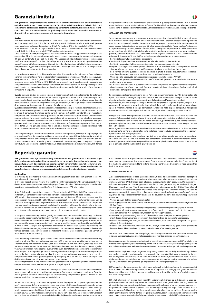## **Garanzia limitata**

**NRF garantisce i propri componenti per impianti di condizionamento contro difetti di materiale e di fabbricazione per 12 mesi, Ammesso che l'acquirente sia il proprietario del veicolo in cui il componente per l'aria condizionata è stato originariamente installato. Prodotti chimici e lubrificanti sono specificatamente esclusi da qualsiasi garanzia e non sono restituibili. Gli attrezzi e i dispositivi di manutenzione sono garantiti solo per la riparazione.**

### **Avviso**

NRF richiede l'uso dei nuovi refrigeranti R-134a o HFO-1234yf. Inoltre, NRF richiede che per la manutenzione venga utilizzato il tipo, la viscosità e la quantità di olio adatti allo specifico refrigerante come specificato dal produttore originale (OEM). Per i sistemi R-134a è richiesto l'olio PAG. Nota: alcuni veicoli più vecchi (Jaguar e Volvo) usano l'olio ESTERE in sistemi R-134a convertiti. Alcuni

veicoli ibridi richiedono anche olio ESTERE specialmente formulato.

l nuovi compressori NRF provengono da una varietà di fornitori sia di apparecchiature originali che<br>aftermarket. Alcuni compressori sono spediti a secco e non contengono olio, mentre altri sono spe-<br>diti con un contenuto d verificare, per uno specifico utilizzo del refrigerante, la quantità appropriata e il tipo di olio contenuto all'interno di tale compressore. Ciò può richiedere la rimozione di tutto l'olio contenuto nel compressore e l'aggiunta di un'altra quantità di olio. Questa garanzia limitata non copre i guasti derivanti da un mancato rispetto di questo avviso.

In caso di guasto a causa di un difetto del materiale o di lavorazione, l'acquirente ha l'onere di consegnare il componente per l'aria condizionata in un esercizio convenzionato NRF. Nel caso in cui venga approvata la richiesta di garanzia, l'acquirente è responsabile per il costo del lavoro, qualsiasi refrigerante necessario (R-134a o HFO-1234yf), ed eventuali parti supplementari necessarie per completare l'installazione di un componente sostitutivo nel veicolo in cui il componente per l'aria condizionata era stato originariamente installato. Questa garanzia limitata scade 12 mesi dopo la prima data di acquisto.

Questa garanzia limitata non copre i danni al motore causati dal surriscaldamento del sistema di raffreddamento e/o aria condizionata. NRF non è responsabile per i danni ai componenti per l'aria condizionata dovuti a negligenza dell'operatore, compresa, ma non limitata alla mancanza da parte dell'operatore di controllare e rispettare le luci, gli indicatori e/o altri segni o segnali di avvertimento di imminente surriscaldamento del motore e/o della trasmissione.

Questa garanzia limitata non si estende ai guasti dei componenti per l'aria condizionata risultanti dal collocamento dei componenti in veicoli incompatibili o in cattivo stato dal punto di vista meccanico. Si prega di consultare il catalogo per le parti di ricambio A/C di NRF per identificare i modelli dei componenti per l'aria condizionata appropriati. Se NRF interrompe la produzione di un modello di componente per l'aria condizionata nel suo catalogo o il componente diventa obsoleto, questa garanzia è nulla rispetto a quel modello. NRF si riserva il diritto di modificare o migliorare il design di qualsiasi prodotto NRF senza assumere alcun obbligo di modificare qualsiasi prodotto fabbricato in precedenza. Questa garanzia limitata non si applica se il componente per l'aria condizionata è stato usato come componente all'interno del prodotto di un altro costruttore.

Se il componente per l'aria condizionata (non compresi i compressori, di cui qui di seguito) si guasta a causa di un difetto del materiale o di lavorazione entro il periodo di 12 mesi di garanzia, restituire il componente difettoso con una copia della ricevuta originale di acquisto presso un esercizio conven-zionato per verificare la causa del guasto. Conservare lo scontrino originale come prova d'acquisto per il futuro. Se il problema è determinato da un difetto del materiale o della lavorazione, NRF fornirà

## **Beperkte garantie**

**NRF garandeert voor zijn airconditioning componenten een garantie van 24 maanden tegen**  defecten in materiaal en afwerking, zolang als de eerste koper in de detailhandel eigenaar is van<br>het voertuig, waarin de airconditioning componenten oorspronkelijk geïnstalleerd waren. Che-<br>micaliën, en smeermiddelen zijn **goed. Service gereedschap en apparatuur zijn enkel gewaarborgd op basis van reparatie.**

## **Mededeling**

NRF vereist, dat elke reparatie van een airconditioning systeem allen door een gekwalificeerde ACspecialist wordt uitgevoerd.

NRF vereist het gebruik van nieuwe R-134a of HFO-1234yf koelmiddelen. NRF vereist verder het type, de viscositeit en de hoeveelheid olie zoals gespecificeerd door het OEM voertuig dat onderhouden wordt voor het specifieke koelmiddel. Voor R-134a systemen is PAG olie vereist.

Nota: Enkele oudere voertuigen (Jaguar en Volvo) gebruiken ESTER olie in R-134a geconverteerde

systemen. Ook enkele hybride voertuigen vereisen speciaal samengestelde ESTER olie.<br>NRF betrekt zijn nieuwe compressoren uit een pool van originele en Aftermarket leveranciers. Alle<br>compressoren worden met 80 - 300ml PAG o koper van de compressor om de geschiktheid van de hoeveelheid en het type olie in de compressor voor een specifieke toepassing en/of koelmiddel te bepalen. Het kan nodig zijn alle olie in de compressor te verwijderen en een andere hoeveelheid olie toe te voegen. Deze beperkte garantie dekt geen storingen die worden veroorzaakt door het niet acht nemen van deze nota.

In het geval van een storing die het gevolg is van een defect in materiaal of afwerking, zal de oorspronkelijke koper verantwoordelijk zijn voor het aanbieden van de airconditioning component bij een deelnemend NRF distributeur. In het geval dat de garantieaanspraak goedgekeurd wordt, zal de oorspronkelijke koper verantwoordelijk zijn voor de arbeidskosten, de noodzakelijke koelmiddelen (R-134a of HFO-1234yf) en alle bijkomende onderdelen die noodzakelijk zijn voor de afwerking van de installatie of de vervanging van airconditioning componenten in het voertuig waarin de airconditioning componenten oorspronkelijk geïnstalleerd werden. Deze beperkte garantie vervalt 24 maanden na de eerste aankoop.

Deze beperkte garantie dekt geen schade aan de motor die veroorzaakt werd door oververhitting van het koel- en/of het airconditioning systeem. NRF is niet verantwoordelijk voor schade aan de airconditioning componenten die te wijten is aan nalatigheid van de bediener, inclusief, maar niet beperkt tot verzuim van de bediener om de lichten, de meters en/of andere indicaties of signalen van waarschuwingen van dreigende oververhitting van de motor of de transmissie te controleren of op te volgen. Deze beperkte garantie is niet uitgebreid tot storing van de airconditioning componenten die het resultaat zijn van de plaatsing van de airconditioning componenten in een nietcompatibel of mechanisch gebrekkig voertuig. Raadpleeg a.u.b. de NRF A/C PARTS catalogus voor de identificatie van geschikte airconditioning componenten.

Als NRF stopt met een model van airconditioning componenten in zijn catalogus of de airconditioning component is verouderd, verliest deze garantie zijn geldigheid.

NRF behoudt zich het recht voor om het ontwerp van alle NRF producten te veranderen en te verbeteren zonder zich er toe te verplichten de eerder gefabriceerde producten te wijzigen. Deze be-perkte garantie is niet van toepassing als de airconditioning componenten gebruikt worden als een component in het product van een andere fabrikant.

Als een airconditioning component (compressor niet inbegrepen, zie *compressor garantie*) het begeeft vanwege een defect in materiaal of afwerking binnen de 24 maanden garantie periode, gelieve dan de defecte airconditioning component terug te sturen samen met een kopie van het aankoopbewijs aan een partner bedrijf om de oorzaak van het defecte airconditioning component te onderzoeken. Bewaar uw originele aankoopfactuur als bewijs van eigendom. Als er vastgesteld wordt dat het probleem een defect in het materiaal of afwerking blijkt te zijn, dat binnen deze beperkte garantie una parte di ricambio o una nota di credito entro i termini di questa garanzia limitata. Tutte le parti in garanzia devono essere restituite in porto franco. Tutti i rischi di perdita o danni alle merci, mentre queste sono in possesso del vettore in rotta verso l'esercizio convenzionato, sono in capo al cliente.

## **GARANZIA DEL COMPRESSORE**

Se un compressore trattato in questa sede si guasta a causa di un difetto di fabbricazione o di materiale durante il periodo di garanzia, è necessario restituirlo con i coperchi di aspirazione e pressione (tappi, cappucci, piastre) installati. La garanzia verrà negata per i compressori che saranno restituiti senza coperchi di aspirazione o pressione. È inoltre necessario restituire l'accumulatore/essiccatore, il dispositivo di espansione (valvola a farfalla, valvola di espansione, o condotto del liquido contenente la valvola a farfalla), e filtro in linea (se usato). In aggiunta, per ricevere la garanzia per i compressori, è necessario fornire una *Copia* della *ricevuta originale di acquisto* e una *Copia* dell'ordine originale di riparazione\*, in cui si afferma che le sequenti procedure sono state esegui • Sostituito l'accumulatore/serbatoio essiccatore.

- Sostituito il dispositivo di espansione (valvola a farfalla o valvola di espansione).
- Sostituiti i raccordi dei tubi contenenti silenziatori (non possono essere lavati).
- Eseguito il lavaggio di tutti i componenti da non sostituire. Non lavare mai un compressore. Se non si riesce a lavare con successo uno o più componenti, allora la sostituzione è necessaria. • Se si verifica un grave guasto del sistema o non si è in grado di lavare adeguatamente il condensa-
- tore, il condensatore deve essere sostituito per convalidare la garanzia. • Usato solo olio approvato, come specificato in precedenza nella sezione AVVISO.
- Usati solo refrigeranti puri R-134a o HFO-1234yf. L'uso di refrigeranti con idrocarburi o miscele annullerà tutte le garanzie.
- La mancata presentazione di questa documentazione comporterà la negazione del diritto di garan-zia dei compressori. Conservare per il futuro la ricevuta originale di acquisto e l'ordine originale di riparazione come prova delle riparazioni.

La sostituzione del componente deve essere l'unico ed esclusivo rimedio a cui NRF è obbligata e alla quale l'acquirente al dettaglio originale ha diritto. NRF non sarà responsabile per eventuali danni

diretti o indiretti di qualunque genere derivanti dall'ordine o dall'uso dei suoi prodotti. In particolare, NRF non è responsabile per il rimborso del prezzo di acquisto originale, la spesa di riconsegna del prodotto al proprietario, la perdita dell'uso del veicolo, perdita di tempo o disagi, spese di rimorchio, tempo di viaggio del meccanico, telefono, hotel o spese per i pasti, il noleggio di<br>un veicolo sostitutivo, i salari persi e altri danni speciali, incidentali, conseguenziali o punitivi. un veicolo sostitutivo, i salari persi e altri danni speciali, incidentali, consequ<br>n veicolo sostitutivo, i salari persi e altri danni speciali, incidentali, consequ

NRF garantisce che il componente è esente da tutti i difetti di materiale e lavorazione nei limiti qui espressi. Tale garanzia è fornita in luogo di tutte le altre garanzie, esplicite o implicite, incluse garanzie di commerciabilità e idoneità per uno scopo particolare, pertanto tutti questi tipi di garanzie espresse o implicite sono qui escluse. NRF non si assume, né autorizza alcuno ad assumere per conto di NRF, altri obblighi.

Questa garanzia limitata non è trasferibile ed è automaticamente nulla nel caso in cui il veicolo, in cui il componente per l'aria condizionata è stato installato, venga venduto, concesso in affitto, o comunque trasferito a un altro proprietario.

Questa garanzia limitata conferisce diritti specifici, ma si potrebbero anche avere altri o diversi diritti, che variano da Stato a Stato. Alcuni Stati non consentono l'esclusione di danni incidentali o conse-quenziali, pertanto tale limitazione potrebbe non essere applicabile a lei. Invii tutte le comunicazioni per la garanzia all'ufficio vendite NRF più vicino a lei.



valt, zal NRF u een vervangend onderdeel of een kredietnota laten toekomen. Alle componenten die voor garantie teruggestuurd worden, moeten Franco verstuurd worden. Alle risico's van verlies of beschadiging verblijven bij de klant, tijdens de component van de transporteur naar het partner bedrijf verstuurd wordt.

## **COMPRESSOR GARANTIE**

Als een compressor die door deze garantie gedekt is, tijdens de garantieperiode schade oploopt als gevolg van een defect in het in materiaal of afwerking, moet u het terugsturen met gesloten zuig en drukaansluitingen (Afdichtingen zoals pluggen, kappen, afdekplaten gebruiken). De garantie ver-valt voor compressoren die teruggestuurd worden zonder gesloten zuig en drukaansluitingen. Daarnaast moet U ook de filter-droger/accumulator en het expansie ventiel (Orifice Tube, blok- of hoekventiel of vloeistofleiding including Orifice Tube) terugsturen. Daarnaast moet u, om voor de compressor garantie in aanmerking te komen, een *kopie* van de *originele aankoopfactuur*\* en een *kopie* van de *originele reparatieorder*\* bijvoegen, die bevestigt dat de volgende werkstappen werden uitgevoerd:<br>• Vervanging van de filter-droger/accumulator

- Vervanging van de filter-droger/accumulator. Vervanging van het expansie ventiel (Orifice Tube, blok- of hoekventiel of vloeistofleiding met vaste Orifice Tube).
- Vervanging van slangleidingen met geïntegreerde geluiddempers (kan niet gespoeld worden). • Spoelen van alle niet vervangen componenten (Spoel nooit een compressor!). Als U een of meer-dere componenten niet kunt spoelen, moeten die vervangen worden.
- Als een fatale systeemstoring bestaat of U de condensor niet adequaat kunt doorspoelen,
- 
- moet de condensor vervangen worden om de geldigheid van de garantie te waarborgen. Gebruik van olie volgens soort, viscositeit en hoeveelheid, zoals door de voertuig fabrikant gespecificeerd. Zie *mededeling*!
- Gebruik van uitsluitend nieuwe R-134a of HFO-1234yf koelmiddelen. Bij gebruik van gemengde kommen en koelmiddelen op basis van kool

\*Worden deze documenten niet voorgelegd, vervalt de garantie voor compressoren. Bewaar uw originele aankoopfactuur en originele reparatieorder voor toekomstige reparatiebewijzen.

De vervanging van de componente is de enige en exclusieve garantie, waartoe NRF verplicht is en waarop de oorspronkelijke koper recht op heeft. NRF is niet aansprakelijk voor enige gevolgschade of incidentele schade, van welke aard die voortvloeit uit de aankoop of het gebruik van haar producten.

NRF is uitdrukkelijk niet aansprakelijk voor vergoeding van de oorspronkelijke aankoopprijs, de kosten van het verzenden van het product terug naar de eigenaar, uitvaltijden van het voertuig, tijdverlies en ongemak, sleepkosten, kosten voor reistijd van de monteur, telefoonkosten, hotel- of maal-tijdkosten, kosten voor de huur van een vervangingvoertuig, verlies van inkomsten en alle andere speciale, incidentele en bijzondere gevolgkosten of schadevergoedingseisen.

NRF garandeert dat de componenten vrij zijn van materiaal- en fabricagefouten. Als beperking geldt hier, in plaats van alle andere garanties, expliciet of impliciet, met inbegrip van garanties van verkoopbaarheid en geschiktheid voor een bepaald doel, en al dergelijke expliciete of impliciete garanties worden afgewezen.

NRF stelt of autoriseert niemand om voor NRF andere verplichtingen op zich te nemen. Deze be-perkte garantie is niet overdraagbaar en vervalt automatisch in het geval dat het voertuig waarin het airconditioning component geïnstalleerd werd, verkocht, geleased of op een andere manier overdragen word aan een andere eigenaar. Deze beperkte garantie geeft u specifieke rechten, maar u<br>kunt andere en afwijkende rechten hebben, die van land tot land kunnen variëren. Sommige landen staan geen uitsluiting van incidentele- of gevolgschade toe, zodat een dergelijke beperking wellicht voor U niet van toepassing is. Geef alle garantie documenten aan U lokale NRF-verkoopkantoor.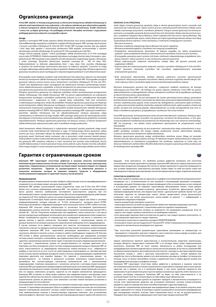## **Ograniczona gwarancja**

**Firma NRF udziela 12-miesięcznej gwarancji na oferowane komponenty układów klimatyzacji w zakresie wad materiałowych oraz wykonania, o ile nabywca detaliczny jest właścicielem pojazdu, w którym komponent układu klimatyzacji został pierwotnie zamontowany. Środki chemiczne i smary nie są objęte gwarancją i nie podlegają zwrotowi. Narzędzia serwisowe i wyposażenie podlegają gwarancji wyłącznie w przypadku napraw.**

**Uwaga** Zgodnie z wymogami NRF każda naprawa układu klimatyzacji musi zostać przeprowadzona przez wykwalifikowanego specjalistę w dziedzinie urządzeń klimatyzacyjnych. NRF wymaga, aby korzystać z nowych czynników chłodzących R-134a lub HFO-1234yf. NRF wymaga również, aby typ, lepkość i ilość oleju były zgodne z wytycznymi producenta OEM pojazdu serwisowanego z użyciem określonego czynnika chłodzącego. W systemach R-134a wymagany jest olej PAG.

Uwaga: Starsze pojazdy (Jaguar i Volvo) posiadające układy przetworzone na R-134a wymagają użycia oleju ESTROWEGO. Niektóre pojazdy hybrydowe wymagają również oleju Estrowego o specjalnej formule. NRF pozyskuje nowe sprężarki od wielu dostawców oryginalnego sprzętu i dostawców z rynku wtórnego. Wszystkie dostarczane sprężarki zawierają 80 – 300 ml oleju PAG. Odpowiedzialność za dobranie odpowiedniej ilości i typu oleju i/lub czynnika chłodzącego w sprężarce do konkretnego zastosowania spoczywa na nabywcy sprężarki. Czynności te mogą wymagać całkowitego odprowadzenia oleju ze sprężarki i dodania innego oleju. Niniejsza ograniczona gwarancja nie pokrywa awarii wynikających z nieprzestrzegania podanych w tym dokumencie zasad.

W przypadku awarii będącej wynikiem wad materiałowych lub wykonania nabywca ma obowiązek<br>dostarczyć komponent układu klimatyzacji do odpowiedniej placówki NRF. W przypadku przyjęcia<br>gwarancji nabywca ponosi koszty pracy, k 1234yf) oraz dodatkowych części wymaganych do zakończenia montażu wymienianego kompo-nentu układu klimatyzacji w pojeździe, w którym komponent ten pierwotnie zamontowano. Niniejsza ograniczona gwarancja traci ważność po 12 miesiącach od daty zakupu.

Niniejsza ograniczona gwarancja nie obejmuje uszkodzeń silnika spowodowanych przegrzaniem układu chłodzącego i/lub układu klimatyzacji. NRF nie ponosi odpowiedzialności za uszkodzenia komponentów wynikające z zaniedbań użytkownika, którymi są m.in. zaniedbywanie obowiązku monitorowania i reagowania na znaki i sygnały lamp, wskaźników i/lub inne ostrzeżenia o nadchodzącym przegrzaniu silnika lub przekładni. Niniejsza ograniczona gwarancja nie obejmuje awarii komponentu układu klimatyzacji wynikającej z zamontowania go w niekompatybilnym lub mechanicznie niesprawnym pojeździe. Odpowiednie modele komponentów układów klimatyzacji podano w katalogu NRF A/C PARTS. W przypadku wycofania z katalogu NRF wybranych modeli komponentów układów klimatyzacji lub ich zdezaktualizowania niniejsza gwarancja ulega unieważnieniu w odniesieniu do tego modelu. NRF zastrzega sobie prawo do wprowadzania zmian lub ulepszeń w konstrukcji swoich produktów bez obowiązku modyfikowania produktów wcześniej wyprodukowanych. Niniejsza ograniczona gwarancja nie dotyczy sytuacji, w których komponent układu klimatyzacji wykorzystano jako część w produkcie innego producenta.

Jeżeli komponent układu klimatyzacji (z wyłączeniem opisanych poniżej sprężarek) ulega awarii z powodu wady materiałowej lub wykonania w ciągu 12-miesięcznego okresu gwarancji, należy zwrócić go wraz z dowodem zakupu do odpowiedniego zakładu, w którym nastąpi identyfikacja przyczyny awarii. Rachunek należy zachować, aby w przyszłości mógł stanowić dowód zakupu. Jeżeli problem wynika z wady materiałowej lub wykonania, zgodnie z zasadami niniejszej ograniczo-nej gwarancji NRF zaopatrzy nabywcę w część wymienną lub wystawi notę kredytową. Koszty wysyłki dokonywanej w ramach gwarancji muszą zostać pokryte z góry. Ryzyko strat lub uszkodzeń, które mogą nastąpić w czasie transportu przez firmę kurierską do wybranego zakładu, ponosi klient.

## **Гарантия с ограниченным сроком**

**Компания NRF гарантирует отсутствие дефектов и высокое качество изготовления компонентов для климатических систем в течение 12 месяцев, в случае, когда транспортным средством с первоначально установленной системой климат-контроля владеет его первый розничный покупатель. Гарантия не распространяется на химические реагенты и смазочные материалы, которые не подлежат возврату. Средства и оборудование техобслуживания покрываются гарантией только в случае ремонта.**

### Предупреждени

Во время ремонта климатической системы требуется обязательное участие квалифицированного специалиста по системам климат-контроля компании NRF.

Компания NRF требует использования новых хладагентов, таких как R-134a или HFO-1234yf. требует использования повых аладагентов, таких как к тэче или<br>ласно требованиям компании NRF, тип, вязкость и количество исп масла должно отвечать требованиям изготовителя транспортного средства при его<br>обслуживании в связи с конкретным хладагентом. Для систем кондиционирования, работающих обслуживании в связи с конкретным хладагентом. Для систем кондици на хладагенте R-134a, требуется масло на основе полиалкиленгликоля (ПАГ).

па хладателтетт гэла, грезуетел жаело на основе поллализисти ликом (там ).<br>Примечание: В некоторых более ранних моделях автомобилей (Jaguar или Volvo) в систе кондиционирования, которые перешли на R-134a, используется моторное масло ESTER. Некоторые автомобили с гибридным приводом также используют масло ESTER особого состава. Компания NRF получает новые компрессоры от различных поставщиков оригинального оборудования и рынка запчастей. Все компрессоры отгружаются заполненными маслом ПАГ в объеме 80 – 300 мл. Покупатель компрессора сам определяет, какое количество и тип масла внутри компрессора необходимо использовать для конкретного применения и/или хладагента. Может потребоваться удалить из компрессора все находящееся там масло и заполнить его другим маслом в другом количестве. Настоящая гарантия с ограниченным сроком не распространяется на поломки в результате невыполнения требований этого предупреждения.

В случае поломки из-за дефекта материала или качества изготовления первоначальный покупатель отвечает за передачу комплектующей системы климат-контроля в соответствующее отделение компании NRF. Если гарантийная рекламация принимается, первоначальный покупатель обязуется оплатить услуги, стоимость любого необходимого хладагента (R-134a или HFO-1234yf) и любых дополнительных запчастей, необходимых для завершения установки системы климат-контроля в автомобиле, где первоначально был установлен ее компонент. Эта гарантия с ограниченным сроком истекает через 12 месяцев после даты первоначальной покупки. Эта гарантия с ограниченным сроком не распространяется на поломки двигателя из-за перегрева системы охлаждения и/или системы кондиционирования воздуха. Компания NRF не несет ответственности за повреждения компонентов климат-контроля из-за небрежности шофёра, в том числе из-за того, что он не сумел правильно отреагировать на световые датчики шофера, в том числе из-за того, что он не сумел правилило отреш прового на состовые.<br>и/или сигналы панели проборов или другие знаки и сигналы, предупреждающие о прибл перегрева двигателя или коробки передач. Эта гарантия с ограниченным сроком не распространяется на поломки в результате установки компонента климат-контроля в распространнется на положия с результого установистеления с механическими<br>автомобили без соответствующих технических возможностей или с механическими<br>поврежлениями Советоем ознакомиться с каталогом запчастей к системам кл повреждениями. Советуем ознакомиться с каталогом запчастей к системам климаткомпании NRF для правильного выбора модели компонента(ов). Если компания NRF прекращают производство компонента климат-контроля определенной модели, представленной в каталоге, или эта модель компонента устарела, гарантия на эти модели компонентов прекращается. Компания NRF оставляет за собой право изменять или совершенствовать конструкцию своих изделий без обязательства вносить изменения в ранее изготовленный продукт. Эта гарантия с ограниченным сроком не действует, если компонент системы климат-контроля установлен в продукцию другого изготовителя.

Если компонент системы климат-контроля (не учитывая компрессоры, представленные далее) в течение 12 гарантийных месяцев дает сбой из-за дефекта материала или качества изготовления, верните неисправный компонент системы климат-контроля вместе с копией оригинального чека первоначальной покупки в соответствующее отделение компании для установления причины дефекта. Оригинал чека сохраняйте для подтверждения вашего права собственности в

**GWARANCJA NA SPRĘŻARKĘ** Jeżeli objęta niniejszą gwarancją sprężarka ulega w okresie gwarancyjnym awarii z powodu wad wykonania lub materiałowych, należy zwrócić ją wraz z zamontowanymi elementami układu ssania i układu wylotowego (zatyczkami, nasadkami, płytkami). Usługi w ramach gwarancji nie zostaną za-pewnione w przypadku sprężarek dostarczanych bez tych elementów. Należy również zwrócić osuszacz, urządzenia rozprężne (dysza dławiąca, zawór rozprężny lub linia cieczy z dyszą dławiącą). Aby gwarancja na sprężarki była ważna, należy dostarczyć *kopię oryginalnego dowodu zakupu* oraz *Kopię oryginalnego zlecenia naprawy*\*, która zaświadczy o wykonaniu następujących czynności: • Wymiana osuszacza.

• Wymiana urządzenia rozprężnego (dysza dławiąca lub zawór rozprężny). • Wymiana przewodów giętkich z tłumikami (nie mogą być przepłukane).

• Przepłukanie niewymienianych elementów. W żadnym wypadku nie należy przepłukiwać sprężarki. Jeżeli przepłukanie elementu (elementów) jest niemożliwe, konieczna jest wymiana. • W przypadku poważnej awarii systemu lub braku możliwości odpowiedniego przepłukania skra-

placza, element należy wymienić w celu zachowania ważności gwarancji. • Należy wykorzystywać wyłącznie zatwierdzone rodzaje oleju, jak opisano powyżej pod

nagłówkiem UWAGA.

• Dopuszczalne jest wykorzystywanie wyłącznie czystych czynników chłodzących R-134a lub HFO-1234yf. Używanie mieszanek czynników lub czynników węglowodorowych powoduje n. Uzywanie mie<br>vażnienie gwarancji.

\* Brak powyższych dokumentów skutkuje odmową wykonania czynności gwarancyjnych związanych z dotyczącym sprężarki roszczeniem. Należy zachować oryginalny dowód zakupu i zlecenie naprawy, które w przyszłości będą stanowić dowód przeprowadzenia napraw.

Wymiana komponentu powinna być jedynym i wyłącznym środkiem zaradczym, do którego zobowiązana jest firma NRF i do którego ma prawo nabywca detaliczny. Firma NRF nie ponosi odpowiedzialności za jakiegokolwiek rodzaju uszkodzenia wynikowe lub przypadkowe wynikające

ze zleceń lub korzystania z jej produktów. W szczególności firma NRF nie jest obowiązana do zwrotu pierwotnej kwoty zakupu, ponoszenia kosztów dostarczenia produktu z powrotem do właściciela, ponoszenia odpowiedzialności za utratę wartości użytkowej przez pojazd, straty czasowe lub niedogodności, ponoszenia opłat za holowanie, pokrywania kosztów podróży mechanika, połączeń telefonicznych, opłat za pobyt w hotelu lub posiłki, wynajem lub wymianę pojazdu, odpowiedzialności za utratę wynagrodzenia oraz inne sz-kody o charakterze specjalnym, przypadkowym, wynikowym lub straty moralne.

Firma NRF gwarantuje, że komponent jest wolny od wad materiałowych i wykonania. Niniejsza ogra-niczona gwarancja zastępuje wszystkie inne gwarancje, wyrażone lub dorozumiane, w tym gwarancje przydatności handlowej lub przydatności do określonego celu, tym samym je unieważniając. NRF nie przyjmuje i nie udziela innym podmiotom upoważnienia do przyjmowania innych

obowiązków. Niniejsza ograniczona gwarancja nie jest przenośna i automatycznie ulega unieważnieniu w przypadku sprzedaży, wynajmu lub innego rodzaju przekazania innemu właścicielowi pojazdu, w którym zamontowano komponent układu klimatyzacji.

Niniejsza ograniczona gwarancja nadaje użytkownikom określone prawa. Mogą oni posiadać również inne lub różne prawa zależne od kraju. W niektórych krajach niedozwolone jest wyłączenie odpowiedzialności za uszkodzenia przypadkowe lub wynikowe, wyłączenie to może więc nie dotyczyć niektórych użytkowników. Wszelkie dokumenty związane z gwarancją należy przekazywać do lokalnego biura sprzedaży NRF.

будущем. Если выясняется, что проблема вызвана дефектом материала или качеством изготовления в течение гарантийного периода, компания NRF обеспечит замену компонента или предоставит возвратную накладную. Все запчасти, предоставленные по гарантии, возвращаются при условии предоплаты транспортных расходов. Клиент берет на себя все риски утери или повреждения в период транспортировки запчастей перевозчиком в адрес отделения компании.

## **ГАРАНТИЯ НА КОМПРЕССОР**

При сбоях в работе компрессора на гарантии из-за дефекта изготовления или материалов клиент возвращает его с установленными на нем запорной и всасывающей крышками (стопорами, насадками, дисками). Компрессоры, которые возвращаются без установленных на них запорной и всасывающей крышек, не подлежат гарантийному обслуживанию. Клиент также должен вернуть аккумулятор/ ресивер-осушитель, дроссельное устройство (дроссельную трубку, терморегулирующий вентиль или жидкостную линию с дроссельной трубкой). Кроме того, для<br>получения гарантии на компрессоры клиент обязан предоставить колшо оригшиального<br>пловарного чека или колшо оригши проведении следующих операций:

• замена аккумулятора /ресивера-осушителя. • замена дроссельного устройства (дроссельной трубки или терморегулирующего вентиля).

• замена шланговых соединений с глушителями шума (не подлежат промыванию).<br>• промывка всех компонентов, которые не заменяются. Не промывайте компрессор. Если не<br>• удается, как следует промыть компоненты, их необходимо зам

• если происходит крупный сбой в системе или не удается как следует промыть уплотнитель, то

для сохранения гарантии его следует заменить; • используйте только масло, указанное в разделе ПРЕДУПРЕЖДЕНИЕ;

• используйте только чистые хладагенты R-134a или HFO-1234yf. Смешанные или углеводородные хладагенты автоматически аннулируют все гарантии.

\* При отсутствии указанной документации гарантийные рекламации на компрессоры не принимаются. Сохраняйте оригинал товарного чека и оригинал заказа-наряда на ремонт для подтверждения ремонтного обслуживания в будущем.

Замена компонентов является единственным и исключительным средством компенсации, которую обязуется предоставить компания NRF и на которую имеет право первоначальный покупатель. Компания NRF не несет никаких обязательств за любые последующие или непредвиденные поломки изделий при их заказе или использовании. В частности, компания NRF не обязана компенсировать цену первоначальной покупки, расходы на доставку изделий назад покупателю, потери в связи с простоем транспортного средства, потерю времени или неудобства, плату за буксировку, время в пути для механика, расходы на телефон, гостиницу или питание, плату за прокат автомобиля, потери в заработной плате и любые другие особые или непредвиденные расходы и штрафные санкции.

Компания NRF гарантирует отсутствие любых дефектов в материале и высокое качество изготовления компонентов в течение ограниченного гарантийного периода вместо всех прочих гарантий, как в прямой, так и в косвенной форме, в том числе гарантий товарности или применимости для конкретной цели и прочих прямых и косвенных гарантий, ответственность по которым настоящим отрицается. Компания NRF не берет на себя ответственность и не уполномочивает кого бы то ни было брать на себя любые иные обязательства.

Эта гарантия с ограниченным сроком не подлежит передаче и автоматически аннулируется в случае, если транспортное средство, где установлен компонент системы климат-контроля, продается, сдается в аренду или иным способом переходит к другому владельцу.

Эта гарантия с ограниченным сроком дает вам определенные права, но вы можете получить иные права в зависимости от страны. В некоторых странах не допускается исключение непредвиденных иди последующих поломок, поэтому такие ограничения могут на вас не распространяться. Передайте всю гарантийную информацию в местный отдел продаж компании NRF.